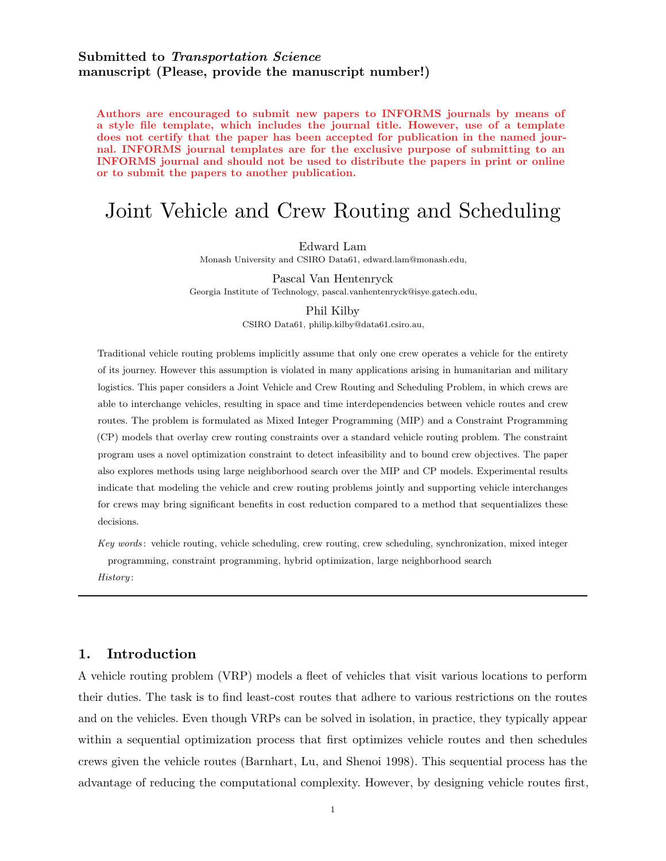# Submitted to Transportation Science manuscript (Please, provide the manuscript number!)

Authors are encouraged to submit new papers to INFORMS journals by means of a style file template, which includes the journal title. However, use of a template does not certify that the paper has been accepted for publication in the named journal. INFORMS journal templates are for the exclusive purpose of submitting to an INFORMS journal and should not be used to distribute the papers in print or online or to submit the papers to another publication.

# Joint Vehicle and Crew Routing and Scheduling

Edward Lam

Monash University and CSIRO Data61, edward.lam@monash.edu,

Pascal Van Hentenryck

Georgia Institute of Technology, pascal.vanhentenryck@isye.gatech.edu,

#### Phil Kilby

CSIRO Data61, philip.kilby@data61.csiro.au,

Traditional vehicle routing problems implicitly assume that only one crew operates a vehicle for the entirety of its journey. However this assumption is violated in many applications arising in humanitarian and military logistics. This paper considers a Joint Vehicle and Crew Routing and Scheduling Problem, in which crews are able to interchange vehicles, resulting in space and time interdependencies between vehicle routes and crew routes. The problem is formulated as Mixed Integer Programming (MIP) and a Constraint Programming (CP) models that overlay crew routing constraints over a standard vehicle routing problem. The constraint program uses a novel optimization constraint to detect infeasibility and to bound crew objectives. The paper also explores methods using large neighborhood search over the MIP and CP models. Experimental results indicate that modeling the vehicle and crew routing problems jointly and supporting vehicle interchanges for crews may bring significant benefits in cost reduction compared to a method that sequentializes these decisions.

Key words : vehicle routing, vehicle scheduling, crew routing, crew scheduling, synchronization, mixed integer programming, constraint programming, hybrid optimization, large neighborhood search

History :

# 1. Introduction

A vehicle routing problem (VRP) models a fleet of vehicles that visit various locations to perform their duties. The task is to find least-cost routes that adhere to various restrictions on the routes and on the vehicles. Even though VRPs can be solved in isolation, in practice, they typically appear within a sequential optimization process that first optimizes vehicle routes and then schedules crews given the vehicle routes [\(Barnhart, Lu, and Shenoi 1998\)](#page-37-0). This sequential process has the advantage of reducing the computational complexity. However, by designing vehicle routes first,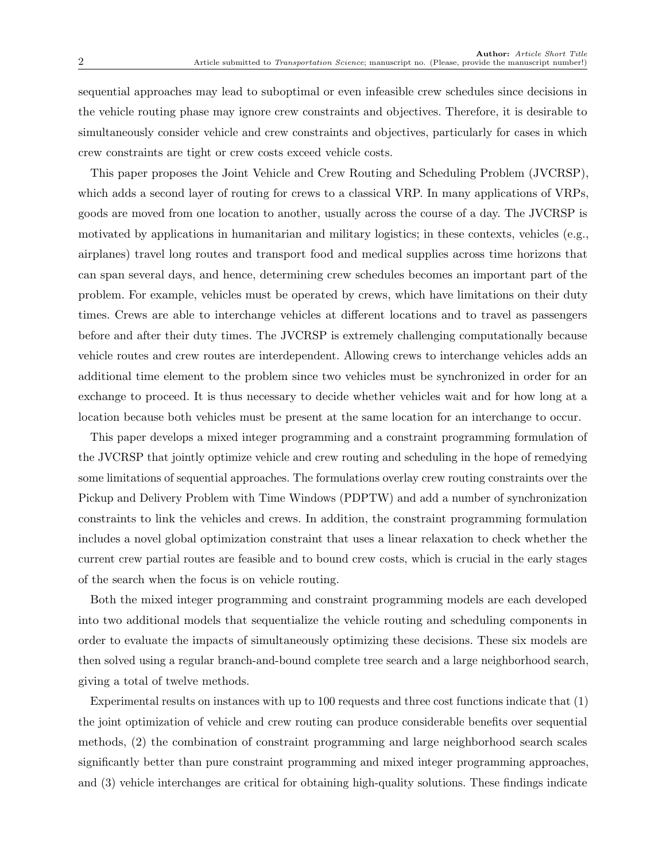sequential approaches may lead to suboptimal or even infeasible crew schedules since decisions in the vehicle routing phase may ignore crew constraints and objectives. Therefore, it is desirable to simultaneously consider vehicle and crew constraints and objectives, particularly for cases in which crew constraints are tight or crew costs exceed vehicle costs.

This paper proposes the Joint Vehicle and Crew Routing and Scheduling Problem (JVCRSP), which adds a second layer of routing for crews to a classical VRP. In many applications of VRPs, goods are moved from one location to another, usually across the course of a day. The JVCRSP is motivated by applications in humanitarian and military logistics; in these contexts, vehicles (e.g., airplanes) travel long routes and transport food and medical supplies across time horizons that can span several days, and hence, determining crew schedules becomes an important part of the problem. For example, vehicles must be operated by crews, which have limitations on their duty times. Crews are able to interchange vehicles at different locations and to travel as passengers before and after their duty times. The JVCRSP is extremely challenging computationally because vehicle routes and crew routes are interdependent. Allowing crews to interchange vehicles adds an additional time element to the problem since two vehicles must be synchronized in order for an exchange to proceed. It is thus necessary to decide whether vehicles wait and for how long at a location because both vehicles must be present at the same location for an interchange to occur.

This paper develops a mixed integer programming and a constraint programming formulation of the JVCRSP that jointly optimize vehicle and crew routing and scheduling in the hope of remedying some limitations of sequential approaches. The formulations overlay crew routing constraints over the Pickup and Delivery Problem with Time Windows (PDPTW) and add a number of synchronization constraints to link the vehicles and crews. In addition, the constraint programming formulation includes a novel global optimization constraint that uses a linear relaxation to check whether the current crew partial routes are feasible and to bound crew costs, which is crucial in the early stages of the search when the focus is on vehicle routing.

Both the mixed integer programming and constraint programming models are each developed into two additional models that sequentialize the vehicle routing and scheduling components in order to evaluate the impacts of simultaneously optimizing these decisions. These six models are then solved using a regular branch-and-bound complete tree search and a large neighborhood search, giving a total of twelve methods.

Experimental results on instances with up to 100 requests and three cost functions indicate that (1) the joint optimization of vehicle and crew routing can produce considerable benefits over sequential methods, (2) the combination of constraint programming and large neighborhood search scales significantly better than pure constraint programming and mixed integer programming approaches, and (3) vehicle interchanges are critical for obtaining high-quality solutions. These findings indicate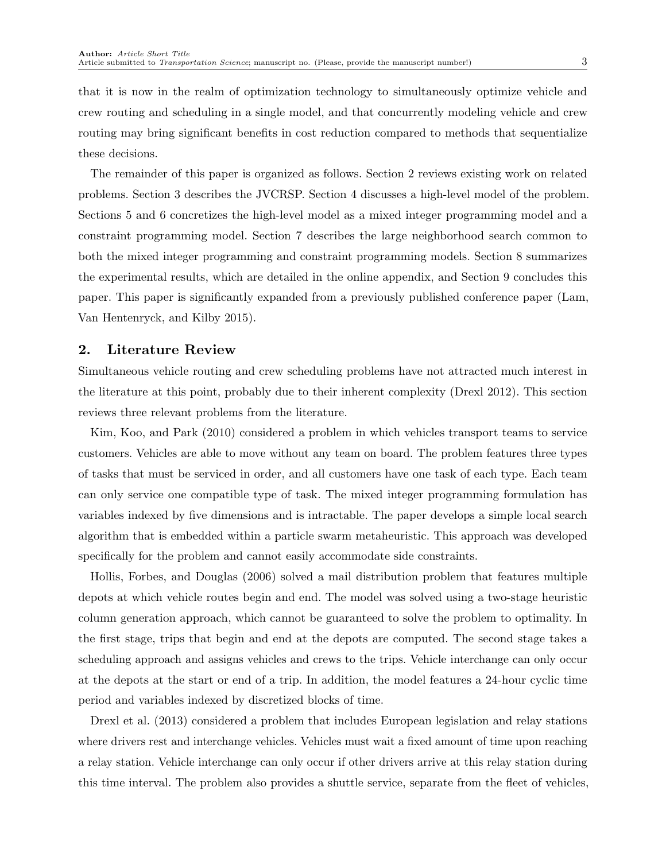that it is now in the realm of optimization technology to simultaneously optimize vehicle and crew routing and scheduling in a single model, and that concurrently modeling vehicle and crew routing may bring significant benefits in cost reduction compared to methods that sequentialize these decisions.

The remainder of this paper is organized as follows. [Section 2](#page-2-0) reviews existing work on related problems. [Section 3](#page-4-0) describes the JVCRSP. [Section 4](#page-6-0) discusses a high-level model of the problem. [Sections 5](#page-10-0) and [6](#page-16-0) concretizes the high-level model as a mixed integer programming model and a constraint programming model. [Section 7](#page-26-0) describes the large neighborhood search common to both the mixed integer programming and constraint programming models. [Section 8](#page-27-0) summarizes the experimental results, which are detailed in the online appendix, and [Section 9](#page-36-0) concludes this paper. This paper is significantly expanded from a previously published conference paper [\(Lam,](#page-39-0) [Van Hentenryck, and Kilby 2015\)](#page-39-0).

### <span id="page-2-0"></span>2. Literature Review

Simultaneous vehicle routing and crew scheduling problems have not attracted much interest in the literature at this point, probably due to their inherent complexity [\(Drexl 2012\)](#page-37-1). This section reviews three relevant problems from the literature.

[Kim, Koo, and Park](#page-39-1) [\(2010\)](#page-39-1) considered a problem in which vehicles transport teams to service customers. Vehicles are able to move without any team on board. The problem features three types of tasks that must be serviced in order, and all customers have one task of each type. Each team can only service one compatible type of task. The mixed integer programming formulation has variables indexed by five dimensions and is intractable. The paper develops a simple local search algorithm that is embedded within a particle swarm metaheuristic. This approach was developed specifically for the problem and cannot easily accommodate side constraints.

[Hollis, Forbes, and Douglas](#page-38-0) [\(2006\)](#page-38-0) solved a mail distribution problem that features multiple depots at which vehicle routes begin and end. The model was solved using a two-stage heuristic column generation approach, which cannot be guaranteed to solve the problem to optimality. In the first stage, trips that begin and end at the depots are computed. The second stage takes a scheduling approach and assigns vehicles and crews to the trips. Vehicle interchange can only occur at the depots at the start or end of a trip. In addition, the model features a 24-hour cyclic time period and variables indexed by discretized blocks of time.

[Drexl et al.](#page-38-1) [\(2013\)](#page-38-1) considered a problem that includes European legislation and relay stations where drivers rest and interchange vehicles. Vehicles must wait a fixed amount of time upon reaching a relay station. Vehicle interchange can only occur if other drivers arrive at this relay station during this time interval. The problem also provides a shuttle service, separate from the fleet of vehicles,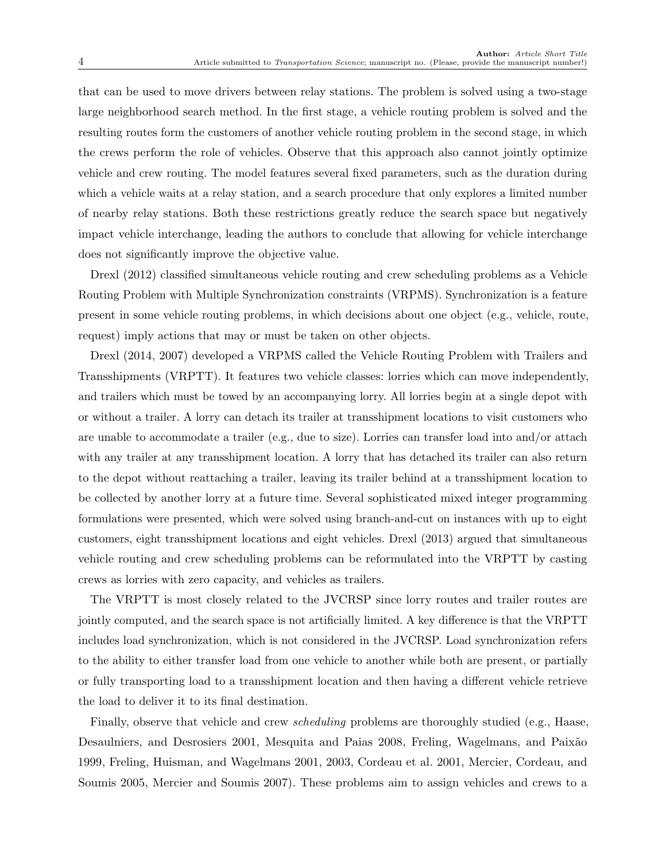that can be used to move drivers between relay stations. The problem is solved using a two-stage large neighborhood search method. In the first stage, a vehicle routing problem is solved and the resulting routes form the customers of another vehicle routing problem in the second stage, in which the crews perform the role of vehicles. Observe that this approach also cannot jointly optimize vehicle and crew routing. The model features several fixed parameters, such as the duration during which a vehicle waits at a relay station, and a search procedure that only explores a limited number of nearby relay stations. Both these restrictions greatly reduce the search space but negatively impact vehicle interchange, leading the authors to conclude that allowing for vehicle interchange does not significantly improve the objective value.

[Drexl](#page-37-1) [\(2012\)](#page-37-1) classified simultaneous vehicle routing and crew scheduling problems as a Vehicle Routing Problem with Multiple Synchronization constraints (VRPMS). Synchronization is a feature present in some vehicle routing problems, in which decisions about one object (e.g., vehicle, route, request) imply actions that may or must be taken on other objects.

[Drexl](#page-38-2) [\(2014,](#page-38-2) [2007\)](#page-37-2) developed a VRPMS called the Vehicle Routing Problem with Trailers and Transshipments (VRPTT). It features two vehicle classes: lorries which can move independently, and trailers which must be towed by an accompanying lorry. All lorries begin at a single depot with or without a trailer. A lorry can detach its trailer at transshipment locations to visit customers who are unable to accommodate a trailer (e.g., due to size). Lorries can transfer load into and/or attach with any trailer at any transshipment location. A lorry that has detached its trailer can also return to the depot without reattaching a trailer, leaving its trailer behind at a transshipment location to be collected by another lorry at a future time. Several sophisticated mixed integer programming formulations were presented, which were solved using branch-and-cut on instances with up to eight customers, eight transshipment locations and eight vehicles. [Drexl](#page-37-3) [\(2013\)](#page-37-3) argued that simultaneous vehicle routing and crew scheduling problems can be reformulated into the VRPTT by casting crews as lorries with zero capacity, and vehicles as trailers.

The VRPTT is most closely related to the JVCRSP since lorry routes and trailer routes are jointly computed, and the search space is not artificially limited. A key difference is that the VRPTT includes load synchronization, which is not considered in the JVCRSP. Load synchronization refers to the ability to either transfer load from one vehicle to another while both are present, or partially or fully transporting load to a transshipment location and then having a different vehicle retrieve the load to deliver it to its final destination.

Finally, observe that vehicle and crew *scheduling* problems are thoroughly studied (e.g., [Haase,](#page-38-3) [Desaulniers, and Desrosiers 2001,](#page-38-3) [Mesquita and Paias 2008,](#page-39-2) Freling, Wagelmans, and Paixão [1999,](#page-38-4) [Freling, Huisman, and Wagelmans 2001,](#page-38-5) [2003,](#page-38-6) [Cordeau et al. 2001,](#page-37-4) [Mercier, Cordeau, and](#page-39-3) [Soumis 2005,](#page-39-3) [Mercier and Soumis 2007\)](#page-39-4). These problems aim to assign vehicles and crews to a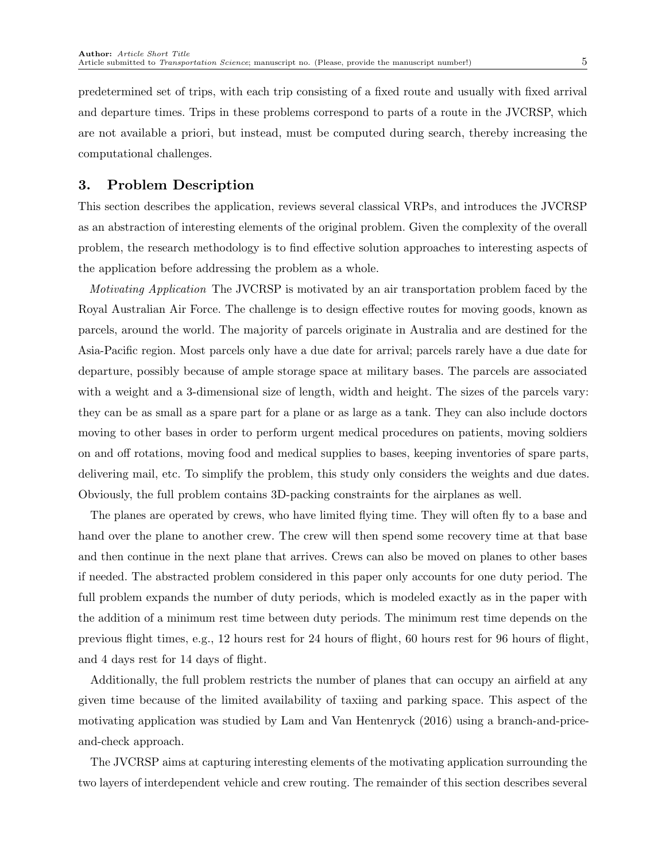predetermined set of trips, with each trip consisting of a fixed route and usually with fixed arrival and departure times. Trips in these problems correspond to parts of a route in the JVCRSP, which are not available a priori, but instead, must be computed during search, thereby increasing the computational challenges.

# <span id="page-4-0"></span>3. Problem Description

This section describes the application, reviews several classical VRPs, and introduces the JVCRSP as an abstraction of interesting elements of the original problem. Given the complexity of the overall problem, the research methodology is to find effective solution approaches to interesting aspects of the application before addressing the problem as a whole.

Motivating Application The JVCRSP is motivated by an air transportation problem faced by the Royal Australian Air Force. The challenge is to design effective routes for moving goods, known as parcels, around the world. The majority of parcels originate in Australia and are destined for the Asia-Pacific region. Most parcels only have a due date for arrival; parcels rarely have a due date for departure, possibly because of ample storage space at military bases. The parcels are associated with a weight and a 3-dimensional size of length, width and height. The sizes of the parcels vary: they can be as small as a spare part for a plane or as large as a tank. They can also include doctors moving to other bases in order to perform urgent medical procedures on patients, moving soldiers on and off rotations, moving food and medical supplies to bases, keeping inventories of spare parts, delivering mail, etc. To simplify the problem, this study only considers the weights and due dates. Obviously, the full problem contains 3D-packing constraints for the airplanes as well.

The planes are operated by crews, who have limited flying time. They will often fly to a base and hand over the plane to another crew. The crew will then spend some recovery time at that base and then continue in the next plane that arrives. Crews can also be moved on planes to other bases if needed. The abstracted problem considered in this paper only accounts for one duty period. The full problem expands the number of duty periods, which is modeled exactly as in the paper with the addition of a minimum rest time between duty periods. The minimum rest time depends on the previous flight times, e.g., 12 hours rest for 24 hours of flight, 60 hours rest for 96 hours of flight, and 4 days rest for 14 days of flight.

Additionally, the full problem restricts the number of planes that can occupy an airfield at any given time because of the limited availability of taxiing and parking space. This aspect of the motivating application was studied by [Lam and Van Hentenryck](#page-39-5) [\(2016\)](#page-39-5) using a branch-and-priceand-check approach.

The JVCRSP aims at capturing interesting elements of the motivating application surrounding the two layers of interdependent vehicle and crew routing. The remainder of this section describes several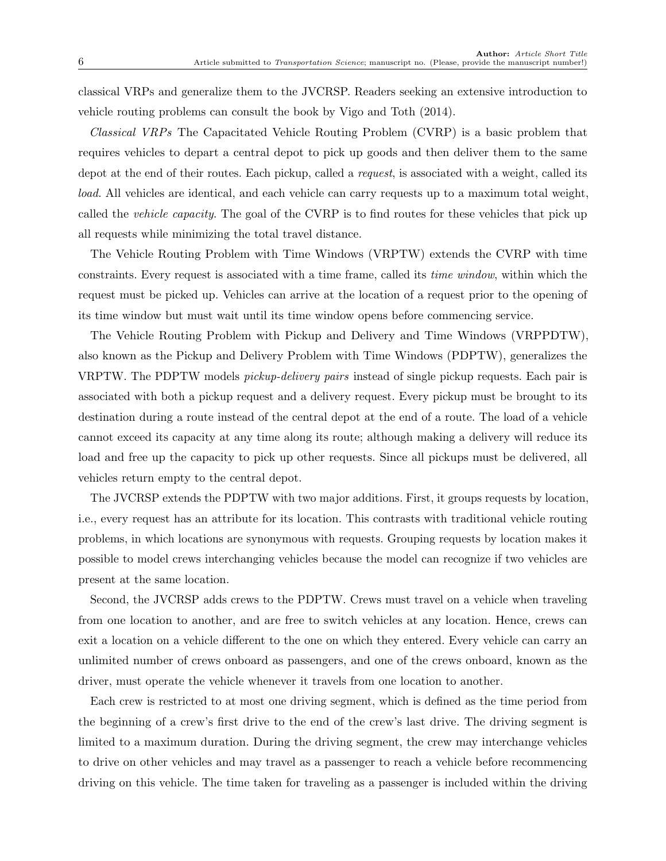classical VRPs and generalize them to the JVCRSP. Readers seeking an extensive introduction to vehicle routing problems can consult the book by [Vigo and Toth](#page-39-6) [\(2014\)](#page-39-6).

Classical VRPs The Capacitated Vehicle Routing Problem (CVRP) is a basic problem that requires vehicles to depart a central depot to pick up goods and then deliver them to the same depot at the end of their routes. Each pickup, called a request, is associated with a weight, called its load. All vehicles are identical, and each vehicle can carry requests up to a maximum total weight, called the vehicle capacity. The goal of the CVRP is to find routes for these vehicles that pick up all requests while minimizing the total travel distance.

The Vehicle Routing Problem with Time Windows (VRPTW) extends the CVRP with time constraints. Every request is associated with a time frame, called its time window, within which the request must be picked up. Vehicles can arrive at the location of a request prior to the opening of its time window but must wait until its time window opens before commencing service.

The Vehicle Routing Problem with Pickup and Delivery and Time Windows (VRPPDTW), also known as the Pickup and Delivery Problem with Time Windows (PDPTW), generalizes the VRPTW. The PDPTW models *pickup-delivery pairs* instead of single pickup requests. Each pair is associated with both a pickup request and a delivery request. Every pickup must be brought to its destination during a route instead of the central depot at the end of a route. The load of a vehicle cannot exceed its capacity at any time along its route; although making a delivery will reduce its load and free up the capacity to pick up other requests. Since all pickups must be delivered, all vehicles return empty to the central depot.

The JVCRSP extends the PDPTW with two major additions. First, it groups requests by location, i.e., every request has an attribute for its location. This contrasts with traditional vehicle routing problems, in which locations are synonymous with requests. Grouping requests by location makes it possible to model crews interchanging vehicles because the model can recognize if two vehicles are present at the same location.

Second, the JVCRSP adds crews to the PDPTW. Crews must travel on a vehicle when traveling from one location to another, and are free to switch vehicles at any location. Hence, crews can exit a location on a vehicle different to the one on which they entered. Every vehicle can carry an unlimited number of crews onboard as passengers, and one of the crews onboard, known as the driver, must operate the vehicle whenever it travels from one location to another.

Each crew is restricted to at most one driving segment, which is defined as the time period from the beginning of a crew's first drive to the end of the crew's last drive. The driving segment is limited to a maximum duration. During the driving segment, the crew may interchange vehicles to drive on other vehicles and may travel as a passenger to reach a vehicle before recommencing driving on this vehicle. The time taken for traveling as a passenger is included within the driving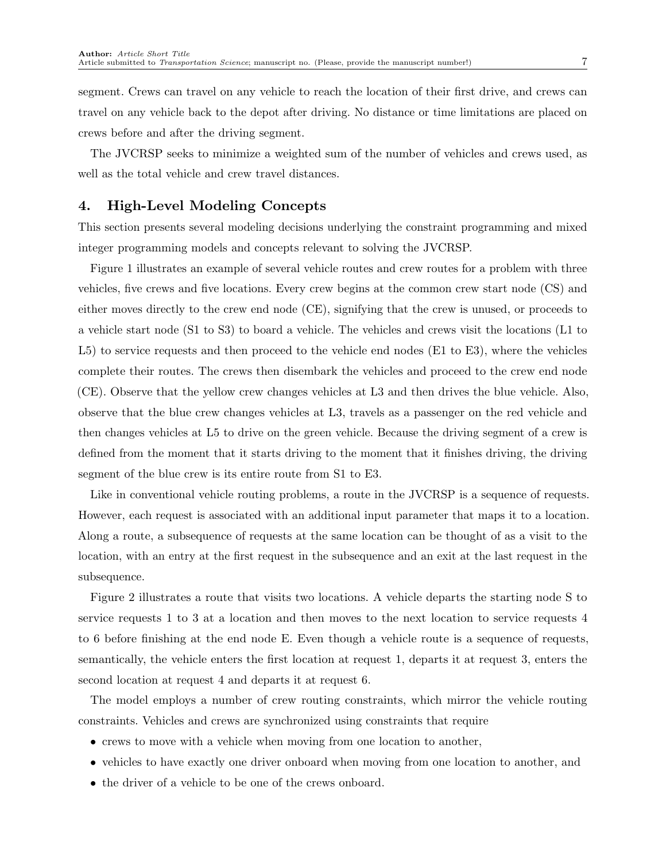segment. Crews can travel on any vehicle to reach the location of their first drive, and crews can travel on any vehicle back to the depot after driving. No distance or time limitations are placed on crews before and after the driving segment.

The JVCRSP seeks to minimize a weighted sum of the number of vehicles and crews used, as well as the total vehicle and crew travel distances.

# <span id="page-6-0"></span>4. High-Level Modeling Concepts

This section presents several modeling decisions underlying the constraint programming and mixed integer programming models and concepts relevant to solving the JVCRSP.

[Figure 1](#page-7-0) illustrates an example of several vehicle routes and crew routes for a problem with three vehicles, five crews and five locations. Every crew begins at the common crew start node (CS) and either moves directly to the crew end node (CE), signifying that the crew is unused, or proceeds to a vehicle start node (S1 to S3) to board a vehicle. The vehicles and crews visit the locations (L1 to L5) to service requests and then proceed to the vehicle end nodes (E1 to E3), where the vehicles complete their routes. The crews then disembark the vehicles and proceed to the crew end node (CE). Observe that the yellow crew changes vehicles at L3 and then drives the blue vehicle. Also, observe that the blue crew changes vehicles at L3, travels as a passenger on the red vehicle and then changes vehicles at L5 to drive on the green vehicle. Because the driving segment of a crew is defined from the moment that it starts driving to the moment that it finishes driving, the driving segment of the blue crew is its entire route from S1 to E3.

Like in conventional vehicle routing problems, a route in the JVCRSP is a sequence of requests. However, each request is associated with an additional input parameter that maps it to a location. Along a route, a subsequence of requests at the same location can be thought of as a visit to the location, with an entry at the first request in the subsequence and an exit at the last request in the subsequence.

[Figure 2](#page-7-1) illustrates a route that visits two locations. A vehicle departs the starting node S to service requests 1 to 3 at a location and then moves to the next location to service requests 4 to 6 before finishing at the end node E. Even though a vehicle route is a sequence of requests, semantically, the vehicle enters the first location at request 1, departs it at request 3, enters the second location at request 4 and departs it at request 6.

The model employs a number of crew routing constraints, which mirror the vehicle routing constraints. Vehicles and crews are synchronized using constraints that require

- crews to move with a vehicle when moving from one location to another,
- vehicles to have exactly one driver onboard when moving from one location to another, and
- the driver of a vehicle to be one of the crews onboard.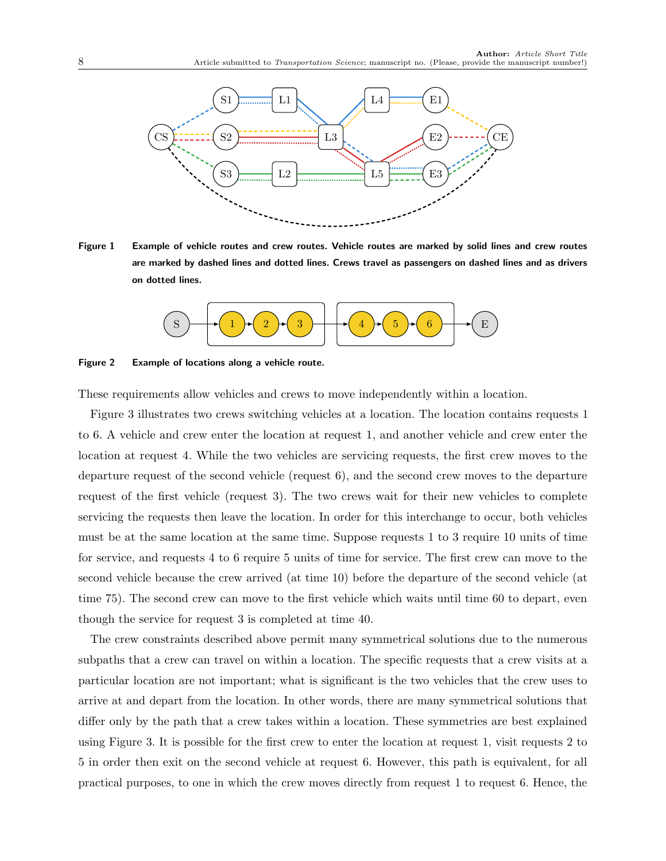<span id="page-7-0"></span>

<span id="page-7-1"></span>Figure 1 Example of vehicle routes and crew routes. Vehicle routes are marked by solid lines and crew routes are marked by dashed lines and dotted lines. Crews travel as passengers on dashed lines and as drivers on dotted lines.



Figure 2 Example of locations along a vehicle route.

These requirements allow vehicles and crews to move independently within a location.

[Figure 3](#page-8-0) illustrates two crews switching vehicles at a location. The location contains requests 1 to 6. A vehicle and crew enter the location at request 1, and another vehicle and crew enter the location at request 4. While the two vehicles are servicing requests, the first crew moves to the departure request of the second vehicle (request 6), and the second crew moves to the departure request of the first vehicle (request 3). The two crews wait for their new vehicles to complete servicing the requests then leave the location. In order for this interchange to occur, both vehicles must be at the same location at the same time. Suppose requests 1 to 3 require 10 units of time for service, and requests 4 to 6 require 5 units of time for service. The first crew can move to the second vehicle because the crew arrived (at time 10) before the departure of the second vehicle (at time 75). The second crew can move to the first vehicle which waits until time 60 to depart, even though the service for request 3 is completed at time 40.

The crew constraints described above permit many symmetrical solutions due to the numerous subpaths that a crew can travel on within a location. The specific requests that a crew visits at a particular location are not important; what is significant is the two vehicles that the crew uses to arrive at and depart from the location. In other words, there are many symmetrical solutions that differ only by the path that a crew takes within a location. These symmetries are best explained using [Figure 3.](#page-8-0) It is possible for the first crew to enter the location at request 1, visit requests 2 to 5 in order then exit on the second vehicle at request 6. However, this path is equivalent, for all practical purposes, to one in which the crew moves directly from request 1 to request 6. Hence, the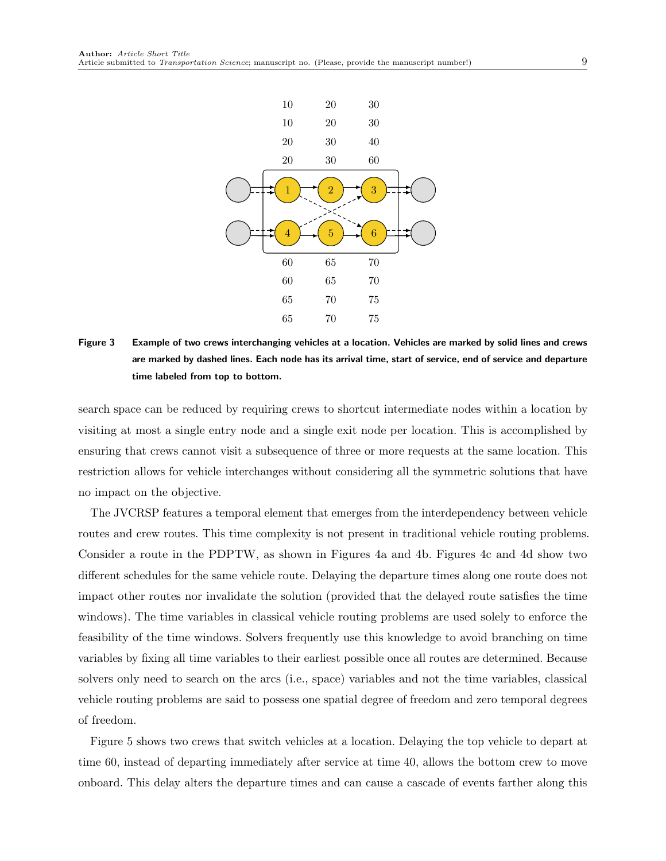<span id="page-8-0"></span>

Figure 3 Example of two crews interchanging vehicles at a location. Vehicles are marked by solid lines and crews are marked by dashed lines. Each node has its arrival time, start of service, end of service and departure time labeled from top to bottom.

search space can be reduced by requiring crews to shortcut intermediate nodes within a location by visiting at most a single entry node and a single exit node per location. This is accomplished by ensuring that crews cannot visit a subsequence of three or more requests at the same location. This restriction allows for vehicle interchanges without considering all the symmetric solutions that have no impact on the objective.

The JVCRSP features a temporal element that emerges from the interdependency between vehicle routes and crew routes. This time complexity is not present in traditional vehicle routing problems. Consider a route in the PDPTW, as shown in [Figures 4a](#page-9-0) and [4b. Figures 4c](#page-9-0) and [4d](#page-9-0) show two different schedules for the same vehicle route. Delaying the departure times along one route does not impact other routes nor invalidate the solution (provided that the delayed route satisfies the time windows). The time variables in classical vehicle routing problems are used solely to enforce the feasibility of the time windows. Solvers frequently use this knowledge to avoid branching on time variables by fixing all time variables to their earliest possible once all routes are determined. Because solvers only need to search on the arcs (i.e., space) variables and not the time variables, classical vehicle routing problems are said to possess one spatial degree of freedom and zero temporal degrees of freedom.

[Figure 5](#page-10-1) shows two crews that switch vehicles at a location. Delaying the top vehicle to depart at time 60, instead of departing immediately after service at time 40, allows the bottom crew to move onboard. This delay alters the departure times and can cause a cascade of events farther along this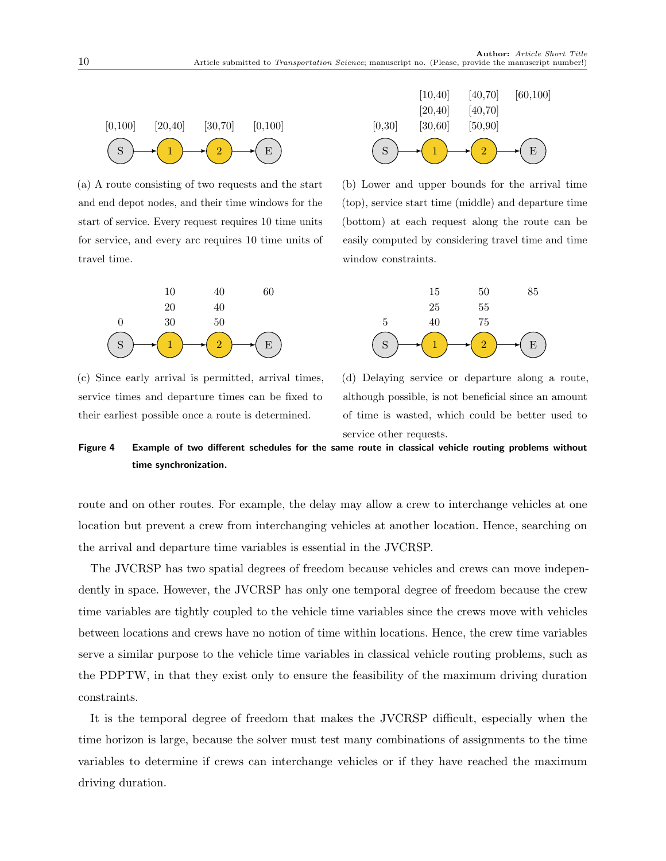<span id="page-9-0"></span>

(a) A route consisting of two requests and the start and end depot nodes, and their time windows for the start of service. Every request requires 10 time units for service, and every arc requires 10 time units of travel time.



(c) Since early arrival is permitted, arrival times, service times and departure times can be fixed to their earliest possible once a route is determined.



(b) Lower and upper bounds for the arrival time (top), service start time (middle) and departure time (bottom) at each request along the route can be easily computed by considering travel time and time window constraints.



(d) Delaying service or departure along a route, although possible, is not beneficial since an amount of time is wasted, which could be better used to service other requests.

Figure 4 Example of two different schedules for the same route in classical vehicle routing problems without time synchronization.

route and on other routes. For example, the delay may allow a crew to interchange vehicles at one location but prevent a crew from interchanging vehicles at another location. Hence, searching on the arrival and departure time variables is essential in the JVCRSP.

The JVCRSP has two spatial degrees of freedom because vehicles and crews can move independently in space. However, the JVCRSP has only one temporal degree of freedom because the crew time variables are tightly coupled to the vehicle time variables since the crews move with vehicles between locations and crews have no notion of time within locations. Hence, the crew time variables serve a similar purpose to the vehicle time variables in classical vehicle routing problems, such as the PDPTW, in that they exist only to ensure the feasibility of the maximum driving duration constraints.

It is the temporal degree of freedom that makes the JVCRSP difficult, especially when the time horizon is large, because the solver must test many combinations of assignments to the time variables to determine if crews can interchange vehicles or if they have reached the maximum driving duration.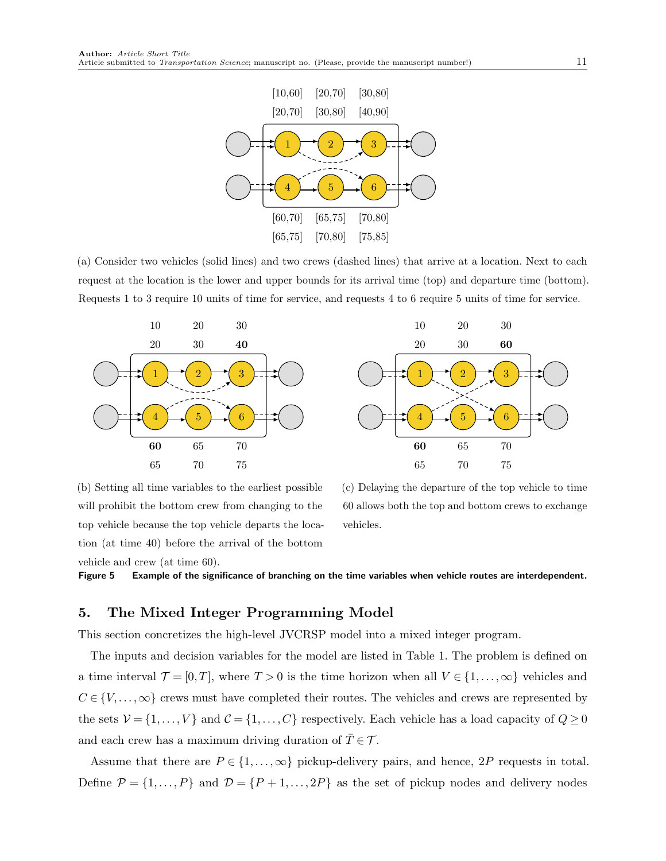<span id="page-10-1"></span>

(a) Consider two vehicles (solid lines) and two crews (dashed lines) that arrive at a location. Next to each request at the location is the lower and upper bounds for its arrival time (top) and departure time (bottom). Requests 1 to 3 require 10 units of time for service, and requests 4 to 6 require 5 units of time for service.





(b) Setting all time variables to the earliest possible will prohibit the bottom crew from changing to the top vehicle because the top vehicle departs the location (at time 40) before the arrival of the bottom vehicle and crew (at time 60).

(c) Delaying the departure of the top vehicle to time 60 allows both the top and bottom crews to exchange vehicles.

Figure 5 Example of the significance of branching on the time variables when vehicle routes are interdependent.

# <span id="page-10-0"></span>5. The Mixed Integer Programming Model

This section concretizes the high-level JVCRSP model into a mixed integer program.

The inputs and decision variables for the model are listed in [Table 1.](#page-11-0) The problem is defined on a time interval  $\mathcal{T} = [0, T]$ , where  $T > 0$  is the time horizon when all  $V \in \{1, ..., \infty\}$  vehicles and  $C \in \{V, \ldots, \infty\}$  crews must have completed their routes. The vehicles and crews are represented by the sets  $V = \{1, ..., V\}$  and  $C = \{1, ..., C\}$  respectively. Each vehicle has a load capacity of  $Q \ge 0$ and each crew has a maximum driving duration of  $T \in \mathcal{T}$ .

Assume that there are  $P \in \{1, ..., \infty\}$  pickup-delivery pairs, and hence, 2P requests in total. Define  $\mathcal{P} = \{1, ..., P\}$  and  $\mathcal{D} = \{P + 1, ..., 2P\}$  as the set of pickup nodes and delivery nodes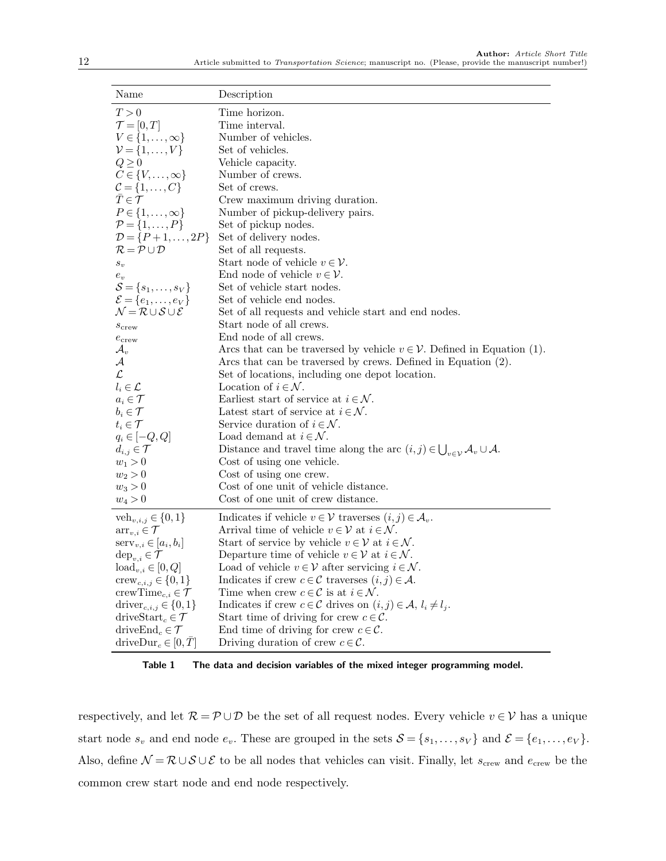<span id="page-11-0"></span>

| Name                                                            | Description                                                                                  |
|-----------------------------------------------------------------|----------------------------------------------------------------------------------------------|
| T > 0                                                           | Time horizon.                                                                                |
| $\mathcal{T}=[0,T]$                                             | Time interval.                                                                               |
| $V\in\{1,\ldots,\infty\}$                                       | Number of vehicles.                                                                          |
| $\mathcal{V} = \{1,\ldots,V\}$                                  | Set of vehicles.                                                                             |
| $Q \geq 0$                                                      | Vehicle capacity.                                                                            |
| $C \in \{V, \ldots, \infty\}$                                   | Number of crews.                                                                             |
| $\mathcal{C} = \{1, \ldots, C\}$                                | Set of crews.                                                                                |
| $\bar{T} \in \mathcal{T}$                                       | Crew maximum driving duration.                                                               |
| $P \in \{1,\ldots,\infty\}$                                     | Number of pickup-delivery pairs.                                                             |
| $\mathcal{P} = \{1, \ldots, P\}$                                | Set of pickup nodes.                                                                         |
| $\mathcal{D} = \{P+1,\ldots,2P\}$                               | Set of delivery nodes.                                                                       |
| $\mathcal{R} = \mathcal{P} \cup \mathcal{D}$                    | Set of all requests.                                                                         |
| $\boldsymbol{S}_{\boldsymbol{v}}$                               | Start node of vehicle $v \in \mathcal{V}$ .                                                  |
| $e_v$                                                           | End node of vehicle $v \in \mathcal{V}$ .                                                    |
| $\mathcal{S} = \{s_1, \ldots, s_V\}$                            | Set of vehicle start nodes.                                                                  |
| $\mathcal{E} = \{e_1, \ldots, e_V\}$                            | Set of vehicle end nodes.                                                                    |
| $\mathcal{N} = \mathcal{R} \cup \mathcal{S} \cup \mathcal{E}$   | Set of all requests and vehicle start and end nodes.                                         |
| $s_{\rm crew}$                                                  | Start node of all crews.                                                                     |
| $e_{\rm crew}$                                                  | End node of all crews.                                                                       |
| $\mathcal{A}_v$                                                 | Arcs that can be traversed by vehicle $v \in V$ . Defined in Equation (1).                   |
| $\mathcal A$                                                    | Arcs that can be traversed by crews. Defined in Equation (2).                                |
| $\mathcal{L}$                                                   | Set of locations, including one depot location.                                              |
| $l_i \in \mathcal{L}$                                           | Location of $i \in \mathcal{N}$ .                                                            |
| $a_i \in \mathcal{T}$                                           | Earliest start of service at $i \in \mathcal{N}$ .                                           |
| $b_i \in \mathcal{T}$                                           | Latest start of service at $i \in \mathcal{N}$ .                                             |
| $t_i \in \mathcal{T}$                                           | Service duration of $i \in \mathcal{N}$ .                                                    |
| $q_i \in [-Q, Q]$                                               | Load demand at $i \in \mathcal{N}$ .                                                         |
| $d_{i,j} \in \mathcal{T}$                                       | Distance and travel time along the arc $(i, j) \in \bigcup_{v \in \mathcal{V}} A_v \cup A$ . |
| $w_1 > 0$                                                       | Cost of using one vehicle.                                                                   |
| $w_2 > 0$                                                       | Cost of using one crew.                                                                      |
| $w_3 > 0$                                                       | Cost of one unit of vehicle distance.                                                        |
| $w_4 > 0$                                                       | Cost of one unit of crew distance.                                                           |
| $veh_{v,i,j} \in \{0,1\}$                                       | Indicates if vehicle $v \in \mathcal{V}$ traverses $(i, j) \in \mathcal{A}_v$ .              |
| $\text{arr}_{v,i} \in \mathcal{T}$                              | Arrival time of vehicle $v \in \mathcal{V}$ at $i \in \mathcal{N}$ .                         |
| $\text{serv}_{v,i} \in [a_i, b_i]$                              | Start of service by vehicle $v \in \mathcal{V}$ at $i \in \mathcal{N}$ .                     |
| $\text{dep}_{v,i} \in \mathcal{T}$                              | Departure time of vehicle $v \in \mathcal{V}$ at $i \in \mathcal{N}$ .                       |
| $\text{load}_{v,i} \in [0, Q]$                                  | Load of vehicle $v \in \mathcal{V}$ after servicing $i \in \mathcal{N}$ .                    |
| $\text{crew}_{c,i,j} \in \{0,1\}$                               | Indicates if crew $c \in \mathcal{C}$ traverses $(i, j) \in \mathcal{A}$ .                   |
| crewTime <sub>c,i</sub> $\in \mathcal{T}$                       | Time when crew $c \in \mathcal{C}$ is at $i \in \mathcal{N}$ .                               |
| driver <sub>c,<i>i</i>,<i>j</i> <math>\in \{0, 1\}</math></sub> | Indicates if crew $c \in \mathcal{C}$ drives on $(i, j) \in \mathcal{A}, l_i \neq l_j$ .     |
| driveStart <sub>c</sub> $\in \mathcal{T}$                       | Start time of driving for crew $c \in \mathcal{C}$ .                                         |
| drive $\text{End}_c \in \mathcal{T}$                            | End time of driving for crew $c \in \mathcal{C}$ .                                           |
| driveDur <sub>c</sub> $\in [0, T]$                              | Driving duration of crew $c \in \mathcal{C}$ .                                               |

Table 1 The data and decision variables of the mixed integer programming model.

respectively, and let  $\mathcal{R} = \mathcal{P} \cup \mathcal{D}$  be the set of all request nodes. Every vehicle  $v \in \mathcal{V}$  has a unique start node  $s_v$  and end node  $e_v$ . These are grouped in the sets  $S = \{s_1, \ldots, s_V\}$  and  $\mathcal{E} = \{e_1, \ldots, e_V\}$ . Also, define  $\mathcal{N} = \mathcal{R} \cup \mathcal{S} \cup \mathcal{E}$  to be all nodes that vehicles can visit. Finally, let  $s_{\text{crew}}$  and  $e_{\text{crew}}$  be the common crew start node and end node respectively.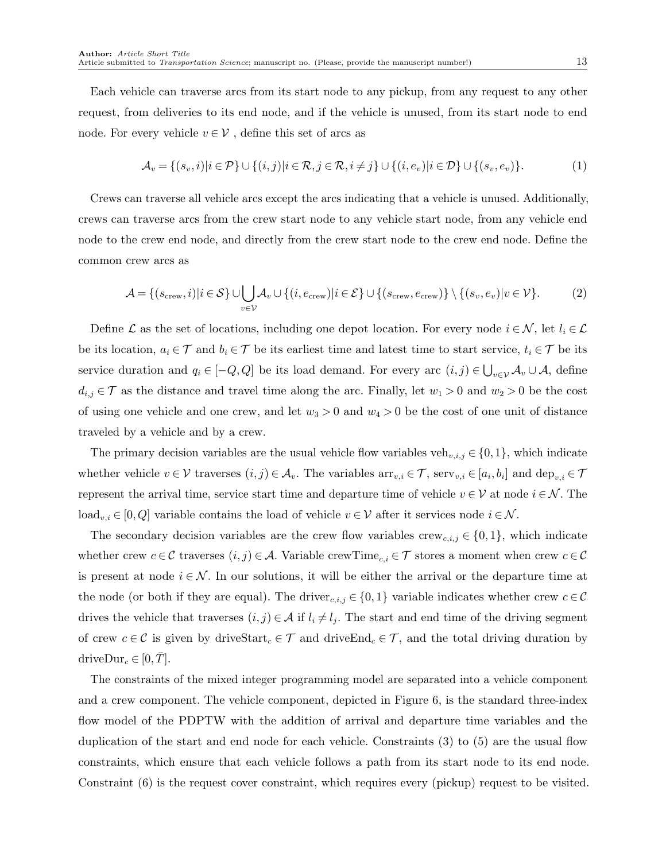Each vehicle can traverse arcs from its start node to any pickup, from any request to any other request, from deliveries to its end node, and if the vehicle is unused, from its start node to end node. For every vehicle  $v \in V$ , define this set of arcs as

<span id="page-12-0"></span>
$$
\mathcal{A}_v = \{(s_v, i) | i \in \mathcal{P}\} \cup \{(i, j) | i \in \mathcal{R}, j \in \mathcal{R}, i \neq j\} \cup \{(i, e_v) | i \in \mathcal{D}\} \cup \{(s_v, e_v)\}.
$$
 (1)

Crews can traverse all vehicle arcs except the arcs indicating that a vehicle is unused. Additionally, crews can traverse arcs from the crew start node to any vehicle start node, from any vehicle end node to the crew end node, and directly from the crew start node to the crew end node. Define the common crew arcs as

<span id="page-12-1"></span>
$$
\mathcal{A} = \{(s_{\text{crew}}, i) | i \in \mathcal{S}\} \cup \bigcup_{v \in \mathcal{V}} \mathcal{A}_v \cup \{(i, e_{\text{crew}}) | i \in \mathcal{E}\} \cup \{(s_{\text{crew}}, e_{\text{crew}})\} \setminus \{(s_v, e_v) | v \in \mathcal{V}\}.
$$
 (2)

Define L as the set of locations, including one depot location. For every node  $i \in \mathcal{N}$ , let  $l_i \in \mathcal{L}$ be its location,  $a_i \in \mathcal{T}$  and  $b_i \in \mathcal{T}$  be its earliest time and latest time to start service,  $t_i \in \mathcal{T}$  be its service duration and  $q_i \in [-Q, Q]$  be its load demand. For every arc  $(i, j) \in \bigcup_{v \in V} A_v \cup A$ , define  $d_{i,j} \in \mathcal{T}$  as the distance and travel time along the arc. Finally, let  $w_1 > 0$  and  $w_2 > 0$  be the cost of using one vehicle and one crew, and let  $w_3 > 0$  and  $w_4 > 0$  be the cost of one unit of distance traveled by a vehicle and by a crew.

The primary decision variables are the usual vehicle flow variables veh<sub>v,i,j</sub>  $\in \{0,1\}$ , which indicate whether vehicle  $v \in \mathcal{V}$  traverses  $(i, j) \in \mathcal{A}_v$ . The variables  $\operatorname{arr}_{v,i} \in \mathcal{T}$ , serv $_{v,i} \in [a_i, b_i]$  and  $\operatorname{dep}_{v,i} \in \mathcal{T}$ represent the arrival time, service start time and departure time of vehicle  $v \in V$  at node  $i \in \mathcal{N}$ . The load<sub>v,i</sub> ∈ [0, Q] variable contains the load of vehicle  $v \in V$  after it services node  $i \in \mathcal{N}$ .

The secondary decision variables are the crew flow variables  $\text{crew}_{c,i,j} \in \{0,1\}$ , which indicate whether crew  $c \in \mathcal{C}$  traverses  $(i, j) \in \mathcal{A}$ . Variable crewTime<sub>c,i</sub>  $\in \mathcal{T}$  stores a moment when crew  $c \in \mathcal{C}$ is present at node  $i \in \mathcal{N}$ . In our solutions, it will be either the arrival or the departure time at the node (or both if they are equal). The driver<sub>c,i,j</sub>  $\in \{0,1\}$  variable indicates whether crew  $c \in \mathcal{C}$ drives the vehicle that traverses  $(i, j) \in A$  if  $l_i \neq l_j$ . The start and end time of the driving segment of crew  $c \in \mathcal{C}$  is given by driveStart<sub>c</sub>  $\in \mathcal{T}$  and driveEnd<sub>c</sub>  $\in \mathcal{T}$ , and the total driving duration by driveDur<sub>c</sub>  $\in [0, T]$ .

The constraints of the mixed integer programming model are separated into a vehicle component and a crew component. The vehicle component, depicted in [Figure 6,](#page-13-0) is the standard three-index flow model of the PDPTW with the addition of arrival and departure time variables and the duplication of the start and end node for each vehicle. [Constraints \(3\)](#page-13-1) to [\(5\)](#page-13-2) are the usual flow constraints, which ensure that each vehicle follows a path from its start node to its end node. [Constraint \(6\)](#page-13-3) is the request cover constraint, which requires every (pickup) request to be visited.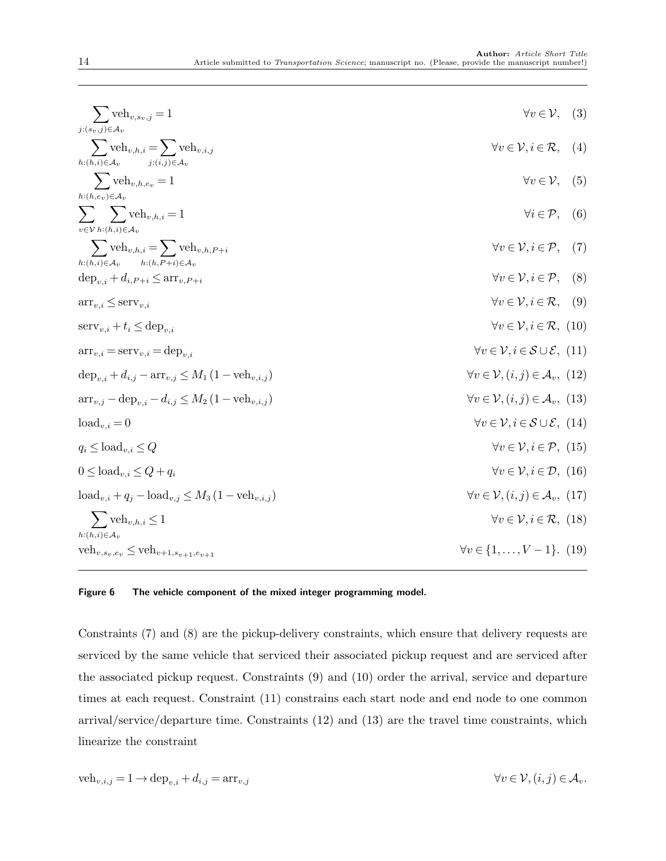<span id="page-13-8"></span><span id="page-13-7"></span><span id="page-13-6"></span><span id="page-13-5"></span><span id="page-13-4"></span><span id="page-13-3"></span><span id="page-13-2"></span><span id="page-13-1"></span><span id="page-13-0"></span>

| $\sum$ veh <sub>v,s<sub>v</sub>,j = 1</sub>                                                                     | $\forall v \in \mathcal{V}, \quad (3)$                                |  |
|-----------------------------------------------------------------------------------------------------------------|-----------------------------------------------------------------------|--|
| $j:(s_v,j){\in}A_v$                                                                                             |                                                                       |  |
| $\sum$ veh <sub>v,h,i</sub> = $\sum$ veh <sub>v,i,j</sub><br>$h:(h,i){\in}A_v$<br>$i:(i,j)\in\mathcal{A}_v$     | $\forall v \in \mathcal{V}, i \in \mathcal{R}, \quad (4)$             |  |
| $\sum$ veh <sub>v,h,ev</sub> = 1                                                                                | $\forall v \in \mathcal{V}, \quad (5)$                                |  |
| $h:(h,e_v){\in}A_v$                                                                                             |                                                                       |  |
| $\sum_{i} \sum_{j} \text{veh}_{v,h,i} = 1$                                                                      | $\forall i \in \mathcal{P}, \quad (6)$                                |  |
| $v \in V$ $h:(h,i) \in \mathcal{A}_v$                                                                           |                                                                       |  |
| $\sum$ veh <sub>v,h,i</sub> = $\sum$ veh <sub>v,h,P+i</sub>                                                     | $\forall v \in \mathcal{V}, i \in \mathcal{P},$ (7)                   |  |
| $h:(h,i)\in\mathcal{A}_v$ $h:(h,P+i)\in\mathcal{A}_v$<br>$\text{dep}_{v,i} + d_{i,P+i} \leq \text{arr}_{v,P+i}$ | $\forall v \in \mathcal{V}, i \in \mathcal{P},$ (8)                   |  |
| $\text{arr}_{v,i} \leq \text{serv}_{v,i}$                                                                       | $\forall v \in \mathcal{V}, i \in \mathcal{R}, \quad (9)$             |  |
| $\text{serv}_{v,i} + t_i \le \text{dep}_{v,i}$                                                                  | $\forall v \in \mathcal{V}, i \in \mathcal{R}, (10)$                  |  |
| $\arctan_{v,i} = \arctan_{v,i} = \text{dep}_{v,i}$                                                              | $\forall v \in \mathcal{V}, i \in \mathcal{S} \cup \mathcal{E}, (11)$ |  |
| $\text{dep}_{v,i} + d_{i,j} - \text{arr}_{v,j} \leq M_1 (1 - \text{veh}_{v,i,j})$                               | $\forall v \in \mathcal{V}, (i, j) \in \mathcal{A}_v, (12)$           |  |
| $\arctan_{v,i} - \text{dep}_{v,i} - d_{i,j} \leq M_2 (1 - \text{veh}_{v,i,j})$                                  | $\forall v \in \mathcal{V}, (i, j) \in \mathcal{A}_v, (13)$           |  |
| $load_{v,i}=0$                                                                                                  | $\forall v \in \mathcal{V}, i \in \mathcal{S} \cup \mathcal{E}, (14)$ |  |
| $q_i \leq \text{load}_{v,i} \leq Q$                                                                             | $\forall v \in \mathcal{V}, i \in \mathcal{P}, (15)$                  |  |
| $0 \leq \text{load}_{v,i} \leq Q + q_i$                                                                         | $\forall v \in \mathcal{V}, i \in \mathcal{D}, (16)$                  |  |
| $\text{load}_{v,i} + q_i - \text{load}_{v,i} \leq M_3 (1 - \text{veh}_{v,i,i})$                                 | $\forall v \in \mathcal{V}, (i, j) \in \mathcal{A}_v, (17)$           |  |
| $\sum$ veh <sub>v,h,i</sub> $\leq$ 1                                                                            | $\forall v \in \mathcal{V}, i \in \mathcal{R}, (18)$                  |  |
| $h:(h,i)\in \mathcal{A}_v$                                                                                      | $\forall v \in \{1, \ldots, V-1\}.$ (19)                              |  |
| $veh_{v,s_v,e_v} \leq veh_{v+1,s_{v+1},e_{v+1}}$                                                                |                                                                       |  |

### <span id="page-13-15"></span><span id="page-13-14"></span><span id="page-13-13"></span><span id="page-13-12"></span><span id="page-13-11"></span><span id="page-13-10"></span><span id="page-13-9"></span>Figure 6 The vehicle component of the mixed integer programming model.

[Constraints \(7\)](#page-13-4) and [\(8\)](#page-13-5) are the pickup-delivery constraints, which ensure that delivery requests are serviced by the same vehicle that serviced their associated pickup request and are serviced after the associated pickup request. [Constraints \(9\)](#page-13-6) and [\(10\)](#page-13-7) order the arrival, service and departure times at each request. [Constraint \(11\)](#page-13-8) constrains each start node and end node to one common arrival/service/departure time. [Constraints \(12\)](#page-13-9) and [\(13\)](#page-13-10) are the travel time constraints, which linearize the constraint

$$
\text{veh}_{v,i,j} = 1 \to \text{dep}_{v,i} + d_{i,j} = \text{arr}_{v,j} \qquad \qquad \forall v \in \mathcal{V}, (i,j) \in \mathcal{A}_v.
$$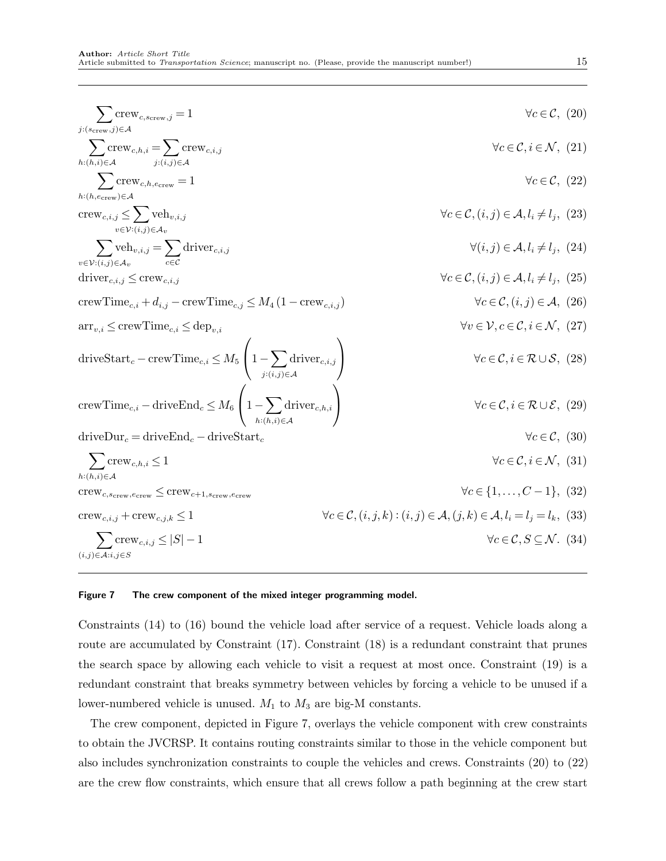<span id="page-14-8"></span><span id="page-14-7"></span><span id="page-14-6"></span><span id="page-14-5"></span><span id="page-14-4"></span><span id="page-14-3"></span><span id="page-14-2"></span><span id="page-14-1"></span><span id="page-14-0"></span>
$$
\sum_{j:(s_{\text{crew}},j)\in A} \text{CFew}_{c,h,i} = \sum_{j:(i,j)\in A} \text{CFew}_{c,h,i} = \sum_{j:(i,j)\in A} \text{CFew}_{c,h,i} = \sum_{j:(i,j)\in A} \text{CFew}_{c,h,i} = \sum_{j:(i,j)\in A} \text{CFew}_{c,h,i,j} = \sum_{k:(h,i)\in A} \text{CFew}_{c,k,i,j} = 1
$$
\n
$$
\forall c \in \mathcal{C}, (20)
$$
\n
$$
\forall c \in \mathcal{C}, (21)
$$
\n
$$
\forall c \in \mathcal{C}, (22)
$$
\n
$$
\forall c \in \mathcal{C}, (23)
$$
\n
$$
\forall c \in \mathcal{C}, (24)
$$
\n
$$
\forall c \in \mathcal{C}, (22)
$$
\n
$$
\forall c \in \mathcal{C}, (23)
$$
\n
$$
\forall c \in \mathcal{C}, (i,j) \in A, l_i \neq l_j, (23)
$$
\n
$$
\forall c \in \mathcal{C}, (i,j) \in A, l_i \neq l_j, (24)
$$
\n
$$
\forall c \in \mathcal{C}, (i,j) \in A, l_i \neq l_j, (25)
$$
\n
$$
\forall c \in \mathcal{C}, (i,j) \in A, l_i \neq l_j, (26)
$$
\n
$$
\text{errorTime}_{c,i} \leq \text{newTime}_{c,i} \leq \text{depth}_{v,i}
$$
\n
$$
\forall c \in \mathcal{C}, (i,j) \in A, l_i \neq l_j, (25)
$$
\n
$$
\forall c \in \mathcal{C}, (i,j) \in A, (26)
$$
\n
$$
\text{errorTime}_{c,i} = \text{driveTime}_{c,i} \leq \text{depth}_{v,i}
$$
\n
$$
\forall c \in \mathcal{C}, i \in \mathcal{R} \cup \mathcal{S}, (28)
$$
\n
$$
\text{errorTime}_{c,i} = \text{driveEnd}_{c} \leq M_{6} \left( 1 - \sum_{j:(i,j)\in A} \text{div}_{c,k,j} \right)
$$
\n
$$
\forall c \in \mathcal{C}, i \in \mathcal{R} \cup \mathcal{S}, (29)
$$
\n
$$
\
$$

#### <span id="page-14-14"></span><span id="page-14-13"></span><span id="page-14-12"></span><span id="page-14-11"></span><span id="page-14-10"></span><span id="page-14-9"></span>Figure 7 The crew component of the mixed integer programming model.

[Constraints \(14\)](#page-13-11) to [\(16\)](#page-13-12) bound the vehicle load after service of a request. Vehicle loads along a route are accumulated by [Constraint \(17\).](#page-13-13) [Constraint \(18\)](#page-13-14) is a redundant constraint that prunes the search space by allowing each vehicle to visit a request at most once. [Constraint \(19\)](#page-13-15) is a redundant constraint that breaks symmetry between vehicles by forcing a vehicle to be unused if a lower-numbered vehicle is unused.  $M_1$  to  $M_3$  are big-M constants.

The crew component, depicted in [Figure 7,](#page-14-0) overlays the vehicle component with crew constraints to obtain the JVCRSP. It contains routing constraints similar to those in the vehicle component but also includes synchronization constraints to couple the vehicles and crews. [Constraints \(20\)](#page-14-1) to [\(22\)](#page-14-2) are the crew flow constraints, which ensure that all crews follow a path beginning at the crew start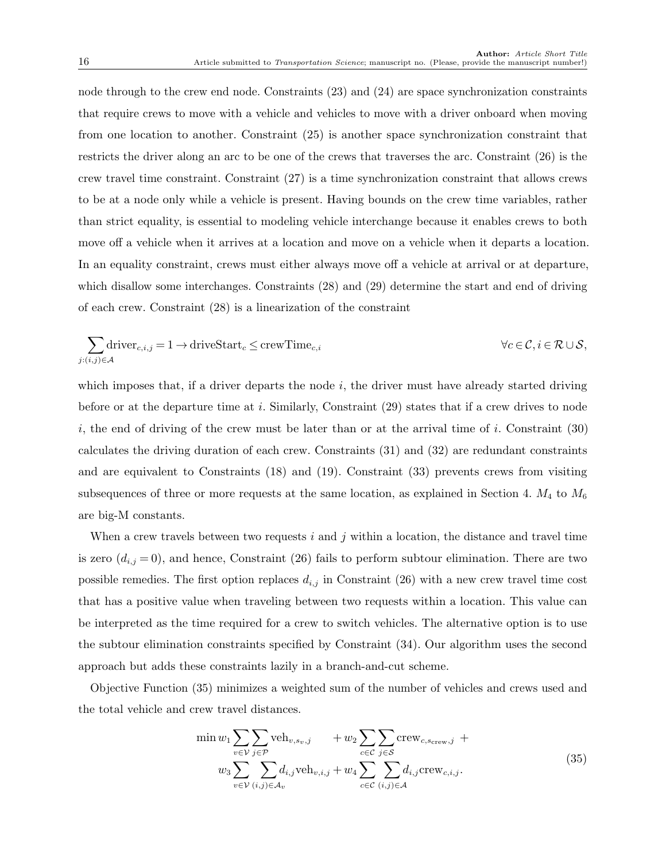node through to the crew end node. [Constraints \(23\)](#page-14-3) and [\(24\)](#page-14-4) are space synchronization constraints that require crews to move with a vehicle and vehicles to move with a driver onboard when moving from one location to another. [Constraint \(25\)](#page-14-5) is another space synchronization constraint that restricts the driver along an arc to be one of the crews that traverses the arc. [Constraint \(26\)](#page-14-6) is the crew travel time constraint. [Constraint \(27\)](#page-14-7) is a time synchronization constraint that allows crews to be at a node only while a vehicle is present. Having bounds on the crew time variables, rather than strict equality, is essential to modeling vehicle interchange because it enables crews to both move off a vehicle when it arrives at a location and move on a vehicle when it departs a location. In an equality constraint, crews must either always move off a vehicle at arrival or at departure, which disallow some interchanges. [Constraints \(28\)](#page-14-8) and [\(29\)](#page-14-9) determine the start and end of driving of each crew. [Constraint \(28\)](#page-14-8) is a linearization of the constraint

$$
\sum_{j:(i,j)\in\mathcal{A}}\text{driver}_{c,i,j}=1\to\text{driveStart}_c\leq\text{crewTime}_{c,i}\qquad\qquad\forall c\in\mathcal{C},i\in\mathcal{R}\cup\mathcal{S},
$$

which imposes that, if a driver departs the node  $i$ , the driver must have already started driving before or at the departure time at i. Similarly, Constraint  $(29)$  states that if a crew drives to node i, the end of driving of the crew must be later than or at the arrival time of i. Constraint  $(30)$ calculates the driving duration of each crew. [Constraints \(31\)](#page-14-11) and [\(32\)](#page-14-12) are redundant constraints and are equivalent to [Constraints \(18\)](#page-13-14) and [\(19\).](#page-13-15) [Constraint \(33\)](#page-14-13) prevents crews from visiting subsequences of three or more requests at the same location, as explained in [Section 4.](#page-6-0)  $M_4$  to  $M_6$ are big-M constants.

When a crew travels between two requests  $i$  and  $j$  within a location, the distance and travel time is zero  $(d_{i,j}=0)$ , and hence, [Constraint \(26\)](#page-14-6) fails to perform subtour elimination. There are two possible remedies. The first option replaces  $d_{i,j}$  in [Constraint \(26\)](#page-14-6) with a new crew travel time cost that has a positive value when traveling between two requests within a location. This value can be interpreted as the time required for a crew to switch vehicles. The alternative option is to use the subtour elimination constraints specified by [Constraint \(34\).](#page-14-14) Our algorithm uses the second approach but adds these constraints lazily in a branch-and-cut scheme.

[Objective Function \(35\)](#page-15-0) minimizes a weighted sum of the number of vehicles and crews used and the total vehicle and crew travel distances.

<span id="page-15-0"></span>
$$
\min w_1 \sum_{v \in \mathcal{V}} \sum_{j \in \mathcal{P}} \text{veh}_{v, s_v, j} + w_2 \sum_{c \in \mathcal{C}} \sum_{j \in \mathcal{S}} \text{crew}_{c, s_{\text{crew}, j}} + w_3 \sum_{v \in \mathcal{V}} \sum_{(i,j) \in \mathcal{A}} d_{i,j} \text{veh}_{v,i,j} + w_4 \sum_{c \in \mathcal{C}} \sum_{(i,j) \in \mathcal{A}} d_{i,j} \text{crew}_{c,i,j}.
$$
\n
$$
(35)
$$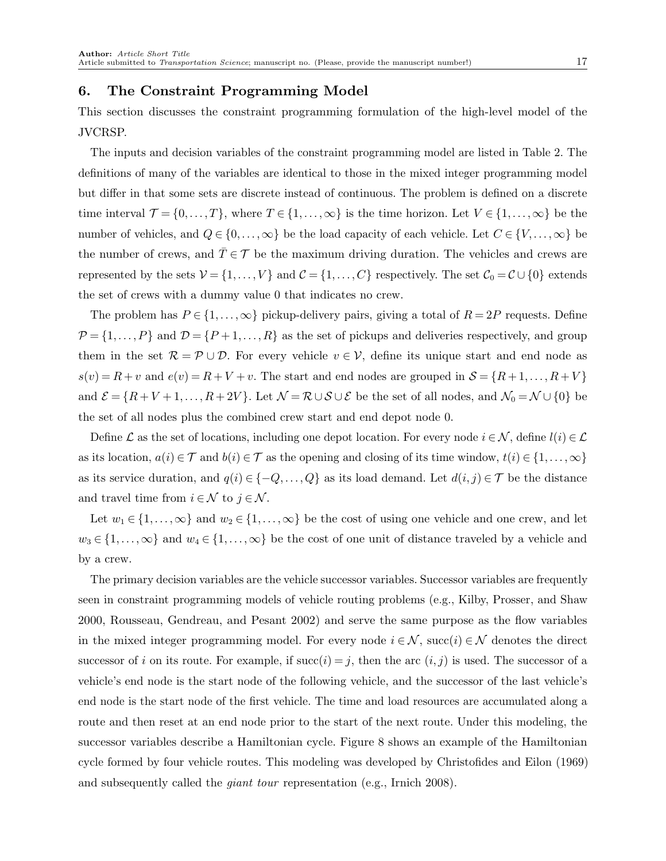# <span id="page-16-0"></span>6. The Constraint Programming Model

This section discusses the constraint programming formulation of the high-level model of the JVCRSP.

The inputs and decision variables of the constraint programming model are listed in [Table 2.](#page-17-0) The definitions of many of the variables are identical to those in the mixed integer programming model but differ in that some sets are discrete instead of continuous. The problem is defined on a discrete time interval  $\mathcal{T} = \{0, \ldots, T\}$ , where  $T \in \{1, \ldots, \infty\}$  is the time horizon. Let  $V \in \{1, \ldots, \infty\}$  be the number of vehicles, and  $Q \in \{0, \ldots, \infty\}$  be the load capacity of each vehicle. Let  $C \in \{V, \ldots, \infty\}$  be the number of crews, and  $\overline{T} \in \mathcal{T}$  be the maximum driving duration. The vehicles and crews are represented by the sets  $V = \{1, ..., V\}$  and  $C = \{1, ..., C\}$  respectively. The set  $C_0 = C \cup \{0\}$  extends the set of crews with a dummy value 0 that indicates no crew.

The problem has  $P \in \{1,\ldots,\infty\}$  pickup-delivery pairs, giving a total of  $R = 2P$  requests. Define  $\mathcal{P} = \{1, ..., P\}$  and  $\mathcal{D} = \{P+1, ..., R\}$  as the set of pickups and deliveries respectively, and group them in the set  $\mathcal{R} = \mathcal{P} \cup \mathcal{D}$ . For every vehicle  $v \in \mathcal{V}$ , define its unique start and end node as  $s(v) = R + v$  and  $e(v) = R + V + v$ . The start and end nodes are grouped in  $S = \{R + 1, \ldots, R + V\}$ and  $\mathcal{E} = \{R+V+1,\ldots,R+2V\}$ . Let  $\mathcal{N} = \mathcal{R} \cup \mathcal{S} \cup \mathcal{E}$  be the set of all nodes, and  $\mathcal{N}_0 = \mathcal{N} \cup \{0\}$  be the set of all nodes plus the combined crew start and end depot node 0.

Define L as the set of locations, including one depot location. For every node  $i \in \mathcal{N}$ , define  $l(i) \in \mathcal{L}$ as its location,  $a(i) \in \mathcal{T}$  and  $b(i) \in \mathcal{T}$  as the opening and closing of its time window,  $t(i) \in \{1, \ldots, \infty\}$ as its service duration, and  $q(i) \in \{-Q, \ldots, Q\}$  as its load demand. Let  $d(i, j) \in \mathcal{T}$  be the distance and travel time from  $i \in \mathcal{N}$  to  $j \in \mathcal{N}$ .

Let  $w_1 \in \{1,\ldots,\infty\}$  and  $w_2 \in \{1,\ldots,\infty\}$  be the cost of using one vehicle and one crew, and let  $w_3 \in \{1,\ldots,\infty\}$  and  $w_4 \in \{1,\ldots,\infty\}$  be the cost of one unit of distance traveled by a vehicle and by a crew.

The primary decision variables are the vehicle successor variables. Successor variables are frequently seen in constraint programming models of vehicle routing problems (e.g., [Kilby, Prosser, and Shaw](#page-38-7) [2000,](#page-38-7) [Rousseau, Gendreau, and Pesant 2002\)](#page-39-7) and serve the same purpose as the flow variables in the mixed integer programming model. For every node  $i \in \mathcal{N}$ , succ $(i) \in \mathcal{N}$  denotes the direct successor of i on its route. For example, if  $succ(i) = j$ , then the arc  $(i, j)$  is used. The successor of a vehicle's end node is the start node of the following vehicle, and the successor of the last vehicle's end node is the start node of the first vehicle. The time and load resources are accumulated along a route and then reset at an end node prior to the start of the next route. Under this modeling, the successor variables describe a Hamiltonian cycle. [Figure 8](#page-18-0) shows an example of the Hamiltonian cycle formed by four vehicle routes. This modeling was developed by [Christofides and Eilon](#page-37-5) [\(1969\)](#page-37-5) and subsequently called the giant tour representation (e.g., [Irnich 2008\)](#page-38-8).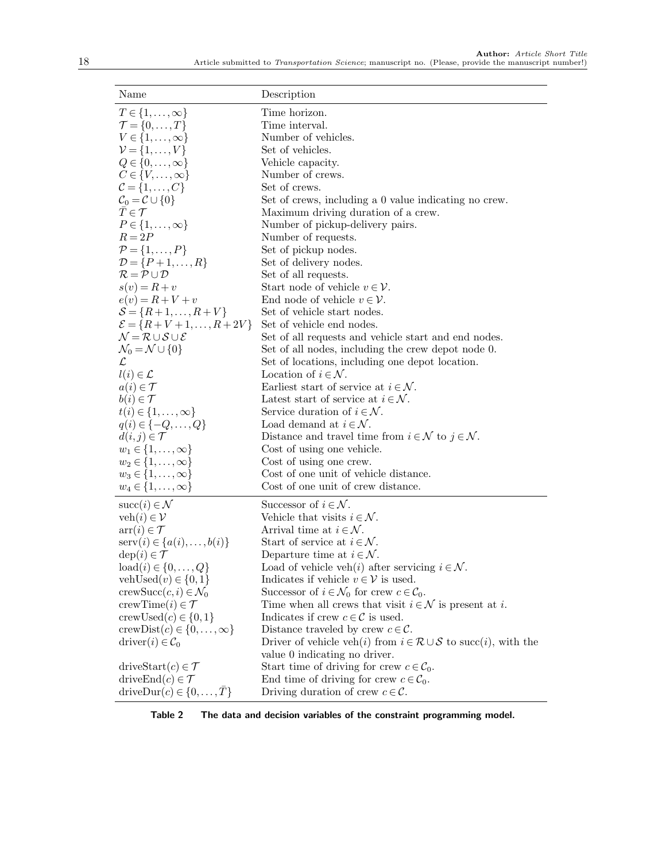<span id="page-17-0"></span>

| Name                                                          | Description                                                                             |
|---------------------------------------------------------------|-----------------------------------------------------------------------------------------|
| $T \in \{1,\ldots,\infty\}$                                   | Time horizon.                                                                           |
| $\mathcal{T} = \{0, \ldots, T\}$                              | Time interval.                                                                          |
| $V \in \{1,\ldots,\infty\}$                                   | Number of vehicles.                                                                     |
| $\mathcal{V} = \{1,\ldots,V\}$                                | Set of vehicles.                                                                        |
| $Q \in \{0, \ldots, \infty\}$                                 | Vehicle capacity.                                                                       |
| $C \in \{V, \ldots, \infty\}$                                 | Number of crews.                                                                        |
| $\mathcal{C} = \{1,\ldots,C\}$                                | Set of crews.                                                                           |
| $\mathcal{C}_0 = \mathcal{C} \cup \{0\}$                      | Set of crews, including a 0 value indicating no crew.                                   |
| $T \in \mathcal{T}$                                           | Maximum driving duration of a crew.                                                     |
| $P \in \{1,\ldots,\infty\}$                                   | Number of pickup-delivery pairs.                                                        |
| $R = 2P$                                                      | Number of requests.                                                                     |
| $\mathcal{P} = \{1, \ldots, P\}$                              | Set of pickup nodes.                                                                    |
| $\mathcal{D} = \{P+1,\ldots,R\}$                              | Set of delivery nodes.                                                                  |
| $R = P \cup D$                                                | Set of all requests.                                                                    |
| $s(v) = R + v$                                                | Start node of vehicle $v \in V$ .                                                       |
| $e(v) = R + V + v$                                            | End node of vehicle $v \in \mathcal{V}$ .                                               |
| $S = \{R+1, , R+V\}$                                          | Set of vehicle start nodes.                                                             |
| $\mathcal{E} = \{R + V + 1, \ldots, R + 2V\}$                 | Set of vehicle end nodes.                                                               |
| $\mathcal{N} = \mathcal{R} \cup \mathcal{S} \cup \mathcal{E}$ | Set of all requests and vehicle start and end nodes.                                    |
| $\mathcal{N}_0 = \mathcal{N} \cup \{0\}$                      | Set of all nodes, including the crew depot node 0.                                      |
| $\mathcal{L}$<br>$l(i) \in \mathcal{L}$                       | Set of locations, including one depot location.<br>Location of $i \in \mathcal{N}$ .    |
|                                                               | Earliest start of service at $i \in \mathcal{N}$ .                                      |
| $a(i) \in \mathcal{T}$<br>$b(i) \in \mathcal{T}$              | Latest start of service at $i \in \mathcal{N}$ .                                        |
| $t(i) \in \{1,\ldots,\infty\}$                                | Service duration of $i \in \mathcal{N}$ .                                               |
| $q(i) \in \{-Q, \ldots, Q\}$                                  | Load demand at $i \in \mathcal{N}$ .                                                    |
| $d(i, j) \in \mathcal{T}$                                     | Distance and travel time from $i \in \mathcal{N}$ to $j \in \mathcal{N}$ .              |
| $w_1 \in \{1,\ldots,\infty\}$                                 | Cost of using one vehicle.                                                              |
| $w_2 \in \{1, \ldots, \infty\}$                               | Cost of using one crew.                                                                 |
| $w_3 \in \{1,\ldots,\infty\}$                                 | Cost of one unit of vehicle distance.                                                   |
| $w_4 \in \{1,\ldots,\infty\}$                                 | Cost of one unit of crew distance.                                                      |
| $succ(i) \in \mathcal{N}$                                     | Successor of $i \in \mathcal{N}$ .                                                      |
| veh $(i) \in \mathcal{V}$                                     | Vehicle that visits $i \in \mathcal{N}$ .                                               |
| $\arctan(i) \in \mathcal{T}$                                  | Arrival time at $i \in \mathcal{N}$ .                                                   |
| $\text{serv}(i) \in \{a(i), \ldots, b(i)\}\$                  | Start of service at $i \in \mathcal{N}$ .                                               |
| $dep(i) \in \mathcal{T}$                                      | Departure time at $i \in \mathcal{N}$ .                                                 |
| $\text{load}(i) \in \{0, \ldots, Q\}$                         | Load of vehicle veh $(i)$ after servicing $i \in \mathcal{N}$ .                         |
| vehUsed $(v) \in \{0,1\}$                                     | Indicates if vehicle $v \in V$ is used.                                                 |
| crewSucc $(c, i) \in \mathcal{N}_0$                           | Successor of $i \in \mathcal{N}_0$ for crew $c \in \mathcal{C}_0$ .                     |
| crewTime(i) $\in \mathcal{T}$                                 | Time when all crews that visit $i \in \mathcal{N}$ is present at i.                     |
| crewUsed $(c) \in \{0,1\}$                                    | Indicates if crew $c \in \mathcal{C}$ is used.                                          |
| crewDist $(c) \in \{0, \ldots, \infty\}$                      | Distance traveled by crew $c \in \mathcal{C}$ .                                         |
| $\text{driver}(i) \in \mathcal{C}_0$                          | Driver of vehicle veh(i) from $i \in \mathcal{R} \cup \mathcal{S}$ to succ(i), with the |
|                                                               | value 0 indicating no driver.                                                           |
| driveStart $(c) \in \mathcal{T}$                              | Start time of driving for crew $c \in \mathcal{C}_0$ .                                  |
| drive $\text{End}(c) \in \mathcal{T}$                         | End time of driving for crew $c \in C_0$ .                                              |
| driveDur(c) $\in \{0, \ldots, \bar{T}\}\$                     | Driving duration of crew $c \in \mathcal{C}$ .                                          |

Table 2 The data and decision variables of the constraint programming model.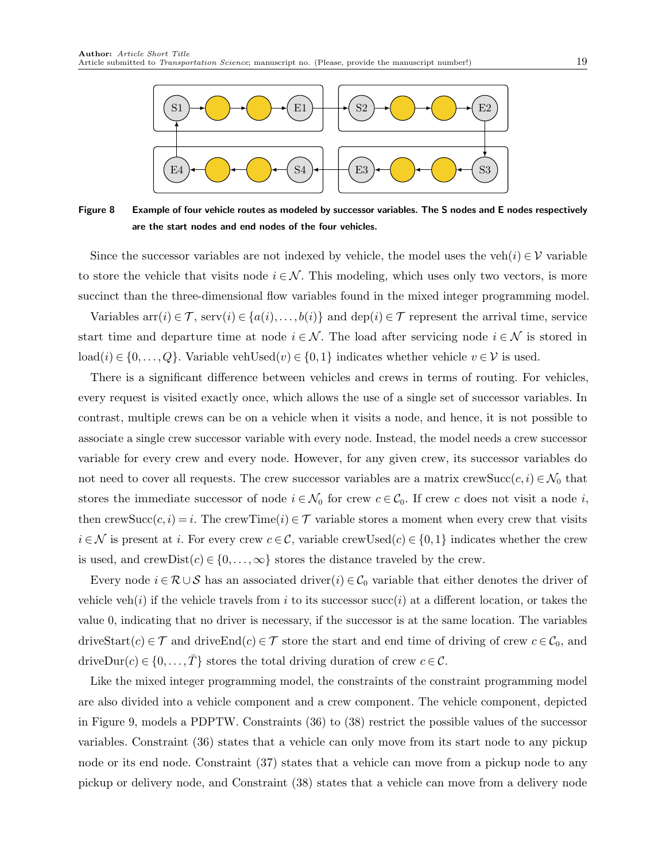<span id="page-18-0"></span>

Figure 8 Example of four vehicle routes as modeled by successor variables. The S nodes and E nodes respectively are the start nodes and end nodes of the four vehicles.

Since the successor variables are not indexed by vehicle, the model uses the veh $(i) \in V$  variable to store the vehicle that visits node  $i \in \mathcal{N}$ . This modeling, which uses only two vectors, is more succinct than the three-dimensional flow variables found in the mixed integer programming model.

Variables  $\text{arr}(i) \in \mathcal{T}$ ,  $\text{serv}(i) \in \{a(i),...,b(i)\}\$ and  $\text{dep}(i) \in \mathcal{T}$  represent the arrival time, service start time and departure time at node  $i \in \mathcal{N}$ . The load after servicing node  $i \in \mathcal{N}$  is stored in load(i) ∈ {0,..., Q}. Variable vehUsed(v) ∈ {0, 1} indicates whether vehicle  $v \in V$  is used.

There is a significant difference between vehicles and crews in terms of routing. For vehicles, every request is visited exactly once, which allows the use of a single set of successor variables. In contrast, multiple crews can be on a vehicle when it visits a node, and hence, it is not possible to associate a single crew successor variable with every node. Instead, the model needs a crew successor variable for every crew and every node. However, for any given crew, its successor variables do not need to cover all requests. The crew successor variables are a matrix crewSucc $(c, i) \in \mathcal{N}_0$  that stores the immediate successor of node  $i \in \mathcal{N}_0$  for crew  $c \in \mathcal{C}_0$ . If crew c does not visit a node i, then crewSucc $(c, i) = i$ . The crewTime $(i) \in \mathcal{T}$  variable stores a moment when every crew that visits  $i \in \mathcal{N}$  is present at i. For every crew  $c \in \mathcal{C}$ , variable crewUsed $(c) \in \{0,1\}$  indicates whether the crew is used, and crewDist $(c) \in \{0, \ldots, \infty\}$  stores the distance traveled by the crew.

Every node  $i \in \mathcal{R} \cup \mathcal{S}$  has an associated driver(i)  $\in \mathcal{C}_0$  variable that either denotes the driver of vehicle veh(i) if the vehicle travels from i to its successor succ(i) at a different location, or takes the value 0, indicating that no driver is necessary, if the successor is at the same location. The variables driveStart $(c) \in \mathcal{T}$  and driveEnd $(c) \in \mathcal{T}$  store the start and end time of driving of crew  $c \in \mathcal{C}_0$ , and driveDur(c)  $\in \{0, ..., T\}$  stores the total driving duration of crew  $c \in \mathcal{C}$ .

Like the mixed integer programming model, the constraints of the constraint programming model are also divided into a vehicle component and a crew component. The vehicle component, depicted in [Figure 9,](#page-20-0) models a PDPTW. [Constraints \(36\)](#page-20-1) to [\(38\)](#page-20-2) restrict the possible values of the successor variables. [Constraint \(36\)](#page-20-1) states that a vehicle can only move from its start node to any pickup node or its end node. [Constraint \(37\)](#page-20-3) states that a vehicle can move from a pickup node to any pickup or delivery node, and [Constraint \(38\)](#page-20-2) states that a vehicle can move from a delivery node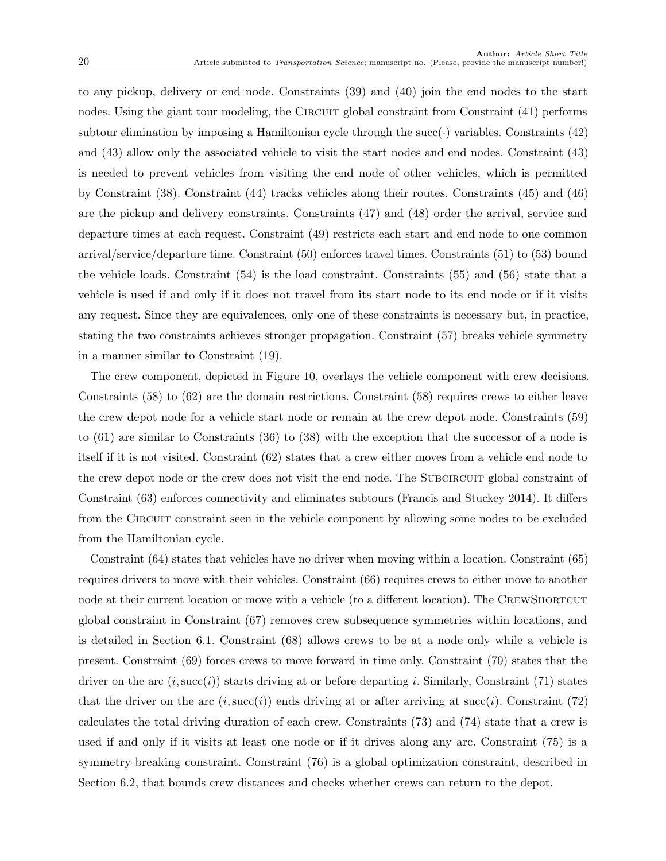to any pickup, delivery or end node. [Constraints \(39\)](#page-20-4) and [\(40\)](#page-20-5) join the end nodes to the start nodes. Using the giant tour modeling, the CIRCUIT global constraint from [Constraint \(41\)](#page-20-6) performs subtour elimination by imposing a Hamiltonian cycle through the succ( $\cdot$ ) variables. [Constraints \(42\)](#page-20-7) and [\(43\)](#page-20-8) allow only the associated vehicle to visit the start nodes and end nodes. [Constraint \(43\)](#page-20-8) is needed to prevent vehicles from visiting the end node of other vehicles, which is permitted by [Constraint \(38\).](#page-20-2) [Constraint \(44\)](#page-20-9) tracks vehicles along their routes. [Constraints \(45\)](#page-20-10) and [\(46\)](#page-20-11) are the pickup and delivery constraints. [Constraints \(47\)](#page-20-12) and [\(48\)](#page-20-13) order the arrival, service and departure times at each request. [Constraint \(49\)](#page-20-14) restricts each start and end node to one common arrival/service/departure time. [Constraint \(50\)](#page-20-15) enforces travel times. [Constraints \(51\)](#page-20-16) to [\(53\)](#page-20-17) bound the vehicle loads. [Constraint \(54\)](#page-20-18) is the load constraint. [Constraints \(55\)](#page-20-19) and [\(56\)](#page-20-20) state that a vehicle is used if and only if it does not travel from its start node to its end node or if it visits any request. Since they are equivalences, only one of these constraints is necessary but, in practice, stating the two constraints achieves stronger propagation. [Constraint \(57\)](#page-20-21) breaks vehicle symmetry in a manner similar to [Constraint \(19\).](#page-13-15)

The crew component, depicted in [Figure 10,](#page-21-0) overlays the vehicle component with crew decisions. [Constraints \(58\)](#page-21-1) to [\(62\)](#page-21-2) are the domain restrictions. [Constraint \(58\)](#page-21-1) requires crews to either leave the crew depot node for a vehicle start node or remain at the crew depot node. [Constraints \(59\)](#page-21-3) to [\(61\)](#page-21-4) are similar to [Constraints \(36\)](#page-20-1) to [\(38\)](#page-20-2) with the exception that the successor of a node is itself if it is not visited. [Constraint \(62\)](#page-21-2) states that a crew either moves from a vehicle end node to the crew depot node or the crew does not visit the end node. The SUBCIRCUIT global constraint of [Constraint \(63\)](#page-21-5) enforces connectivity and eliminates subtours [\(Francis and Stuckey 2014\)](#page-38-9). It differs from the CIRCUIT constraint seen in the vehicle component by allowing some nodes to be excluded from the Hamiltonian cycle.

[Constraint \(64\)](#page-21-6) states that vehicles have no driver when moving within a location. [Constraint \(65\)](#page-21-7) requires drivers to move with their vehicles. [Constraint \(66\)](#page-21-8) requires crews to either move to another node at their current location or move with a vehicle (to a different location). The CREWSHORTCUT global constraint in [Constraint \(67\)](#page-21-9) removes crew subsequence symmetries within locations, and is detailed in [Section 6.1.](#page-21-10) [Constraint \(68\)](#page-21-11) allows crews to be at a node only while a vehicle is present. [Constraint \(69\)](#page-21-12) forces crews to move forward in time only. [Constraint \(70\)](#page-21-13) states that the driver on the arc  $(i,succ(i))$  starts driving at or before departing i. Similarly, [Constraint \(71\)](#page-21-14) states that the driver on the arc  $(i, succ(i))$  ends driving at or after arriving at succ(i). [Constraint \(72\)](#page-21-15) calculates the total driving duration of each crew. [Constraints \(73\)](#page-21-16) and [\(74\)](#page-21-17) state that a crew is used if and only if it visits at least one node or if it drives along any arc. [Constraint \(75\)](#page-21-18) is a symmetry-breaking constraint. [Constraint \(76\)](#page-21-19) is a global optimization constraint, described in [Section 6.2,](#page-22-0) that bounds crew distances and checks whether crews can return to the depot.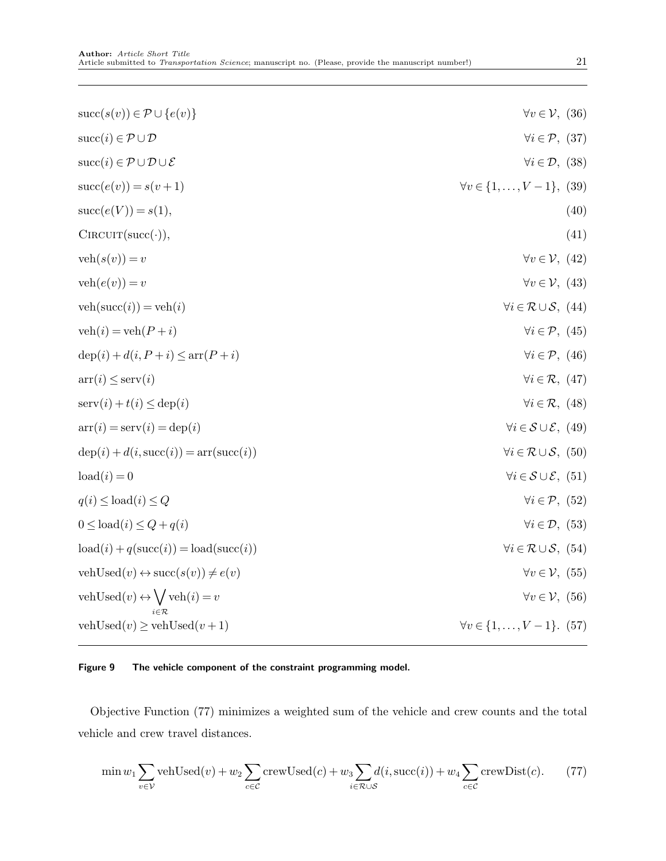<span id="page-20-12"></span><span id="page-20-11"></span><span id="page-20-10"></span><span id="page-20-9"></span><span id="page-20-8"></span><span id="page-20-7"></span><span id="page-20-6"></span><span id="page-20-5"></span><span id="page-20-4"></span><span id="page-20-3"></span><span id="page-20-2"></span><span id="page-20-1"></span><span id="page-20-0"></span>

| $succ(s(v)) \in \mathcal{P} \cup \{e(v)\}\$                        | $\forall v \in \mathcal{V}, (36)$                  |
|--------------------------------------------------------------------|----------------------------------------------------|
| $succ(i) \in \mathcal{P} \cup \mathcal{D}$                         | $\forall i \in \mathcal{P}, (37)$                  |
| $succ(i) \in \mathcal{P} \cup \mathcal{D} \cup \mathcal{E}$        | $\forall i \in \mathcal{D}, (38)$                  |
| $succ(e(v)) = s(v+1)$                                              | $\forall v \in \{1, \ldots, V-1\},\ (39)$          |
| $succ(e(V)) = s(1),$                                               | (40)                                               |
| $CIRCUIT(succ(\cdot)),$                                            | (41)                                               |
| $\text{veh}(s(v)) = v$                                             | $\forall v \in \mathcal{V}, (42)$                  |
| $veh(e(v)) = v$                                                    | $\forall v \in \mathcal{V}, (43)$                  |
| $veh(succ(i)) = veh(i)$                                            | $\forall i \in \mathcal{R} \cup \mathcal{S}, (44)$ |
| $veh(i) = veh(P + i)$                                              | $\forall i \in \mathcal{P}, (45)$                  |
| $\text{dep}(i) + d(i, P + i) \leq \text{arr}(P + i)$               | $\forall i \in \mathcal{P}, (46)$                  |
| $\arctan(i) \leq \text{serv}(i)$                                   | $\forall i \in \mathcal{R}, (47)$                  |
| $\text{serv}(i) + t(i) \leq \text{dep}(i)$                         | $\forall i \in \mathcal{R}, (48)$                  |
| $\arctan(i) = \text{serv}(i) = \text{dep}(i)$                      | $\forall i \in \mathcal{S} \cup \mathcal{E}, (49)$ |
| $dep(i) + d(i, succ(i)) = arr(succ(i))$                            | $\forall i \in \mathcal{R} \cup \mathcal{S}, (50)$ |
| $\text{load}(i) = 0$                                               | $\forall i \in \mathcal{S} \cup \mathcal{E}, (51)$ |
| $q(i) \leq \text{load}(i) \leq Q$                                  | $\forall i \in \mathcal{P}, (52)$                  |
| $0 \leq \text{load}(i) \leq Q + q(i)$                              | $\forall i \in \mathcal{D}, (53)$                  |
| $\text{load}(i) + q(\text{succ}(i)) = \text{load}(\text{succ}(i))$ | $\forall i \in \mathcal{R} \cup \mathcal{S}, (54)$ |
| vehUsed $(v) \leftrightarrow \text{succ}(s(v)) \neq e(v)$          | $\forall v \in \mathcal{V}, (55)$                  |
| vehUsed $(v) \leftrightarrow \bigvee$ veh $(i) = v$                | $\forall v \in \mathcal{V}, (56)$                  |
| vehUsed $(v) \ge$ vehUsed $(v+1)$                                  | $\forall v \in \{1, \ldots, V-1\}.$ (57)           |
|                                                                    |                                                    |

### <span id="page-20-20"></span><span id="page-20-19"></span><span id="page-20-18"></span><span id="page-20-17"></span><span id="page-20-16"></span><span id="page-20-15"></span><span id="page-20-14"></span><span id="page-20-13"></span>Figure 9 The vehicle component of the constraint programming model.

[Objective Function \(77\)](#page-20-22) minimizes a weighted sum of the vehicle and crew counts and the total vehicle and crew travel distances.

<span id="page-20-22"></span><span id="page-20-21"></span>
$$
\min w_1 \sum_{v \in \mathcal{V}} \text{vehUsed}(v) + w_2 \sum_{c \in \mathcal{C}} \text{crewUsed}(c) + w_3 \sum_{i \in \mathcal{R} \cup \mathcal{S}} d(i, \text{succ}(i)) + w_4 \sum_{c \in \mathcal{C}} \text{crewDist}(c). \tag{77}
$$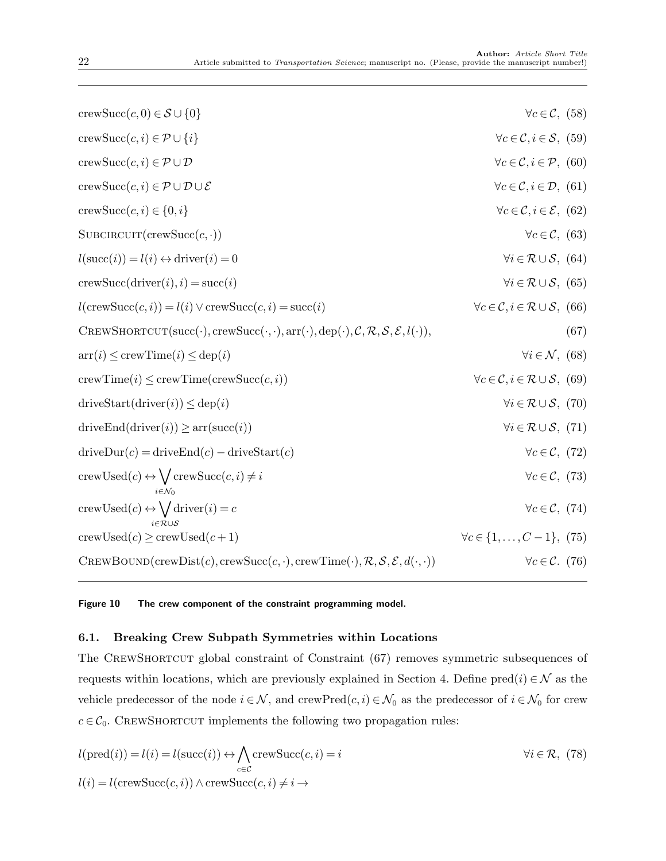<span id="page-21-11"></span><span id="page-21-9"></span><span id="page-21-8"></span><span id="page-21-7"></span><span id="page-21-6"></span><span id="page-21-5"></span><span id="page-21-4"></span><span id="page-21-3"></span><span id="page-21-2"></span><span id="page-21-1"></span><span id="page-21-0"></span>

| crewSucc $(c, 0) \in \mathcal{S} \cup \{0\}$                                                                      | $\forall c \in \mathcal{C}, (58)$                                     |
|-------------------------------------------------------------------------------------------------------------------|-----------------------------------------------------------------------|
| crewSucc $(c, i) \in \mathcal{P} \cup \{i\}$                                                                      | $\forall c \in \mathcal{C}, i \in \mathcal{S}, (59)$                  |
| crewSucc $(c, i) \in \mathcal{P} \cup \mathcal{D}$                                                                | $\forall c \in \mathcal{C}, i \in \mathcal{P}, (60)$                  |
| crewSucc $(c, i) \in \mathcal{P} \cup \mathcal{D} \cup \mathcal{E}$                                               | $\forall c \in \mathcal{C}, i \in \mathcal{D}, (61)$                  |
| crewSucc $(c, i) \in \{0, i\}$                                                                                    | $\forall c \in \mathcal{C}, i \in \mathcal{E}, (62)$                  |
| $SUBCIRCUIT(crewSucc(c, \cdot))$                                                                                  | $\forall c \in \mathcal{C}, (63)$                                     |
| $l(\text{succ}(i)) = l(i) \leftrightarrow \text{driver}(i) = 0$                                                   | $\forall i \in \mathcal{R} \cup \mathcal{S}, (64)$                    |
| $crewSucc(driver(i), i) = succ(i)$                                                                                | $\forall i \in \mathcal{R} \cup \mathcal{S}, (65)$                    |
| $l(\text{crewSucc}(c, i)) = l(i) \vee \text{crewSucc}(c, i) = \text{succ}(i)$                                     | $\forall c \in \mathcal{C}, i \in \mathcal{R} \cup \mathcal{S}, (66)$ |
| CREWSHORTCUT(succ(.), crewSucc(.,.), arr(.), dep(.), $\mathcal{C}, \mathcal{R}, \mathcal{S}, \mathcal{E}, l(.)$ , | (67)                                                                  |
| $\text{arr}(i) \leq \text{crewTime}(i) \leq \text{dep}(i)$                                                        | $\forall i \in \mathcal{N}, (68)$                                     |
| $\text{crewTime}(i) \leq \text{crewTime}(\text{crewSucc}(c, i))$                                                  | $\forall c \in \mathcal{C}, i \in \mathcal{R} \cup \mathcal{S}, (69)$ |
| $\text{driveStart}(\text{driver}(i)) \leq \text{dep}(i)$                                                          | $\forall i \in \mathcal{R} \cup \mathcal{S}, (70)$                    |
| $\text{driveEnd}(\text{driver}(i)) \geq \text{arr}(\text{succ}(i))$                                               | $\forall i \in \mathcal{R} \cup \mathcal{S}, (71)$                    |
| $\text{driveDur}(c) = \text{driveEnd}(c) - \text{driveStart}(c)$                                                  | $\forall c \in \mathcal{C}, (72)$                                     |
| $\text{crewUsed}(c) \leftrightarrow \bigvee \text{crewSucc}(c, i) \neq i$                                         | $\forall c \in \mathcal{C}, (73)$                                     |
| crewUsed $(c) \leftrightarrow \bigvee$ driver $(i) = c$                                                           | $\forall c \in \mathcal{C}, (74)$                                     |
| $\text{crewUsed}(c) \ge \text{crewUsed}(c+1)$                                                                     | $\forall c \in \{1, , C-1\}, (75)$                                    |
| CREWBOUND(crewDist(c), crewSucc(c, ·), crewTime(·), $\mathcal{R}, \mathcal{S}, \mathcal{E}, d(\cdot, \cdot)$      | $\forall c \in \mathcal{C}.$ (76)                                     |

<span id="page-21-19"></span><span id="page-21-18"></span><span id="page-21-17"></span><span id="page-21-16"></span><span id="page-21-15"></span><span id="page-21-14"></span><span id="page-21-13"></span><span id="page-21-12"></span>Figure 10 The crew component of the constraint programming model.

### <span id="page-21-10"></span>6.1. Breaking Crew Subpath Symmetries within Locations

The CREWSHORTCUT global constraint of [Constraint \(67\)](#page-21-9) removes symmetric subsequences of requests within locations, which are previously explained in [Section 4.](#page-6-0) Define  $\text{pred}(i) \in \mathcal{N}$  as the vehicle predecessor of the node  $i \in \mathcal{N}$ , and crewPred $(c, i) \in \mathcal{N}_0$  as the predecessor of  $i \in \mathcal{N}_0$  for crew  $c \in \mathcal{C}_0$ . CREWSHORTCUT implements the following two propagation rules:

<span id="page-21-20"></span>
$$
l(\text{pred}(i)) = l(i) = l(\text{succ}(i)) \leftrightarrow \bigwedge_{c \in \mathcal{C}} \text{crewSucc}(c, i) = i \qquad \forall i \in \mathcal{R}, (78)
$$
  

$$
l(i) = l(\text{crewSucc}(c, i)) \land \text{crewSucc}(c, i) \neq i \rightarrow
$$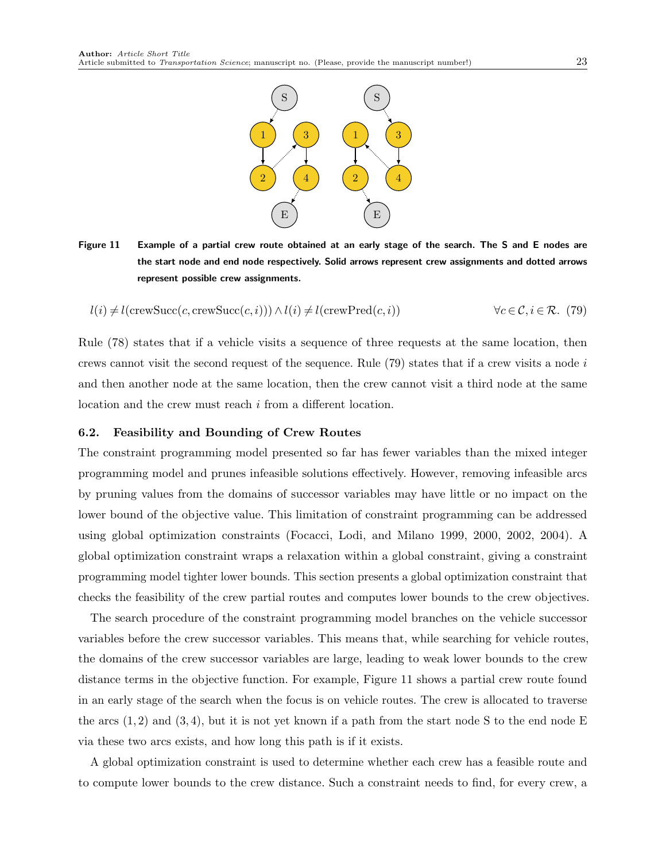<span id="page-22-2"></span><span id="page-22-1"></span>

Figure 11 Example of a partial crew route obtained at an early stage of the search. The S and E nodes are the start node and end node respectively. Solid arrows represent crew assignments and dotted arrows represent possible crew assignments.

$$
l(i) \neq l(\text{crewSucc}(c, \text{crewSucc}(c, i))) \land l(i) \neq l(\text{crewPred}(c, i)) \qquad \forall c \in \mathcal{C}, i \in \mathcal{R}. \tag{79}
$$

[Rule \(78\)](#page-21-20) states that if a vehicle visits a sequence of three requests at the same location, then crews cannot visit the second request of the sequence. Rule  $(79)$  states that if a crew visits a node i and then another node at the same location, then the crew cannot visit a third node at the same location and the crew must reach i from a different location.

#### <span id="page-22-0"></span>6.2. Feasibility and Bounding of Crew Routes

The constraint programming model presented so far has fewer variables than the mixed integer programming model and prunes infeasible solutions effectively. However, removing infeasible arcs by pruning values from the domains of successor variables may have little or no impact on the lower bound of the objective value. This limitation of constraint programming can be addressed using global optimization constraints [\(Focacci, Lodi, and Milano 1999,](#page-38-10) [2000,](#page-38-11) [2002,](#page-38-12) [2004\)](#page-38-13). A global optimization constraint wraps a relaxation within a global constraint, giving a constraint programming model tighter lower bounds. This section presents a global optimization constraint that checks the feasibility of the crew partial routes and computes lower bounds to the crew objectives.

The search procedure of the constraint programming model branches on the vehicle successor variables before the crew successor variables. This means that, while searching for vehicle routes, the domains of the crew successor variables are large, leading to weak lower bounds to the crew distance terms in the objective function. For example, [Figure 11](#page-22-2) shows a partial crew route found in an early stage of the search when the focus is on vehicle routes. The crew is allocated to traverse the arcs  $(1, 2)$  and  $(3, 4)$ , but it is not yet known if a path from the start node S to the end node E via these two arcs exists, and how long this path is if it exists.

A global optimization constraint is used to determine whether each crew has a feasible route and to compute lower bounds to the crew distance. Such a constraint needs to find, for every crew, a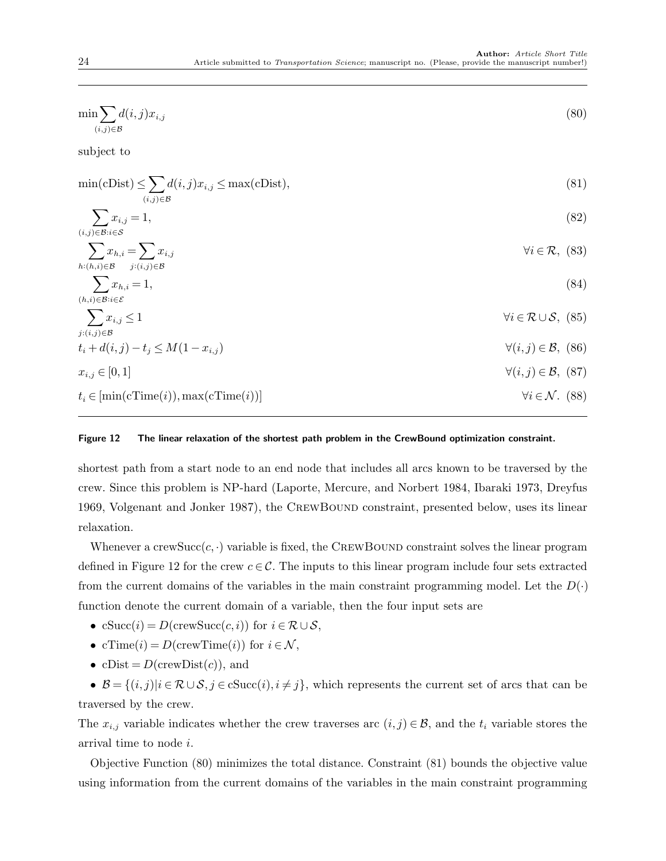<span id="page-23-4"></span><span id="page-23-3"></span><span id="page-23-2"></span><span id="page-23-1"></span><span id="page-23-0"></span>

| $\min \sum d(i,j)x_{i,j}$<br>$(i,j) \in \mathcal{B}$                                              | (80)                                               |
|---------------------------------------------------------------------------------------------------|----------------------------------------------------|
| subject to                                                                                        |                                                    |
| $\min(\text{cDist}) \leq \sum d(i, j)x_{i,j} \leq \max(\text{cDist}),$<br>$(i,j) \in \mathcal{B}$ | (81)                                               |
| $\sum x_{i,j}=1,$<br>$(i,j) \in \mathcal{B}: i \in \mathcal{S}$                                   | (82)                                               |
| $\sum x_{h,i} = \sum x_{i,j}$<br>$h:(h,i){\in}\mathcal{B}$ $j:(i,j){\in}\mathcal{B}$              | $\forall i \in \mathcal{R}, (83)$                  |
| $\sum x_{h,i} = 1,$<br>$(h,i){\in}\mathcal{B}{:}i{\in}\mathcal{E}$                                | (84)                                               |
| $\sum x_{i,j} \leq 1$<br>$j:(i,j)\in\mathcal{B}$                                                  | $\forall i \in \mathcal{R} \cup \mathcal{S}, (85)$ |
| $t_i + d(i, j) - t_i \leq M(1 - x_{i, j})$                                                        | $\forall (i, j) \in \mathcal{B}, (86)$             |
| $x_{i,j} \in [0,1]$                                                                               | $\forall (i, j) \in \mathcal{B}, (87)$             |
| $t_i \in [min(cTime(i)), max(cTime(i))]$                                                          | $\forall i \in \mathcal{N}$ . (88)                 |
|                                                                                                   |                                                    |

#### <span id="page-23-8"></span><span id="page-23-7"></span><span id="page-23-6"></span><span id="page-23-5"></span>Figure 12 The linear relaxation of the shortest path problem in the CrewBound optimization constraint.

shortest path from a start node to an end node that includes all arcs known to be traversed by the crew. Since this problem is NP-hard [\(Laporte, Mercure, and Norbert 1984,](#page-39-8) [Ibaraki 1973,](#page-38-14) [Dreyfus](#page-38-15) [1969,](#page-38-15) [Volgenant and Jonker 1987\)](#page-39-9), the CrewBound constraint, presented below, uses its linear relaxation.

Whenever a crewSucc( $c, \cdot$ ) variable is fixed, the CREWBOUND constraint solves the linear program defined in [Figure 12](#page-23-0) for the crew  $c \in \mathcal{C}$ . The inputs to this linear program include four sets extracted from the current domains of the variables in the main constraint programming model. Let the  $D(\cdot)$ function denote the current domain of a variable, then the four input sets are

- cSucc(i) = D(crewSucc(c, i)) for  $i \in \mathcal{R} \cup \mathcal{S}$ ,
- cTime(i) =  $D(\text{crewTime}(i))$  for  $i \in \mathcal{N}$ ,
- cDist =  $D(\text{crewDist}(c))$ , and

•  $\mathcal{B} = \{(i, j) | i \in \mathcal{R} \cup \mathcal{S}, j \in \text{cSucc}(i), i \neq j\}$ , which represents the current set of arcs that can be traversed by the crew.

The  $x_{i,j}$  variable indicates whether the crew traverses arc  $(i,j) \in \mathcal{B}$ , and the  $t_i$  variable stores the arrival time to node i.

[Objective Function \(80\)](#page-23-1) minimizes the total distance. [Constraint \(81\)](#page-23-2) bounds the objective value using information from the current domains of the variables in the main constraint programming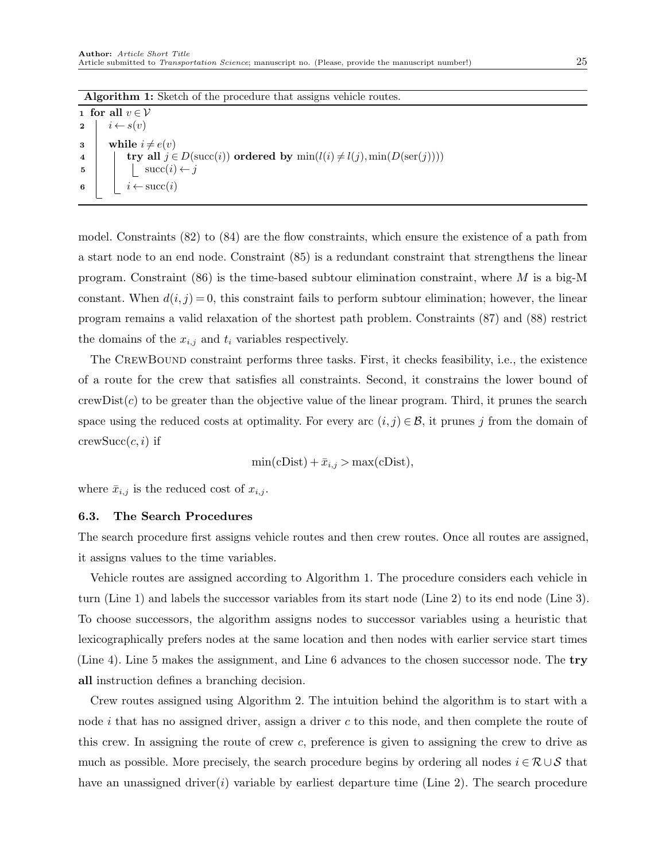<span id="page-24-1"></span>Algorithm 1: Sketch of the procedure that assigns vehicle routes.

<span id="page-24-6"></span><span id="page-24-5"></span><span id="page-24-4"></span><span id="page-24-3"></span><span id="page-24-2"></span>1 for all  $v \in V$ 2  $i \leftarrow s(v)$ 3 while  $i \neq e(v)$ 4 try all  $j \in D(\text{succ}(i))$  ordered by  $\min(l(i) \neq l(j), \min(D(\text{ser}(j))))$ 5 | |  $\sec(i) \leftarrow j$ 6  $i \leftarrow succ(i)$ 

<span id="page-24-0"></span>model. [Constraints \(82\)](#page-23-3) to [\(84\)](#page-23-4) are the flow constraints, which ensure the existence of a path from a start node to an end node. [Constraint \(85\)](#page-23-5) is a redundant constraint that strengthens the linear program. Constraint  $(86)$  is the time-based subtour elimination constraint, where M is a big-M constant. When  $d(i, j) = 0$ , this constraint fails to perform subtour elimination; however, the linear program remains a valid relaxation of the shortest path problem. [Constraints \(87\)](#page-23-7) and [\(88\)](#page-23-8) restrict the domains of the  $x_{i,j}$  and  $t_i$  variables respectively.

The CREWBOUND constraint performs three tasks. First, it checks feasibility, i.e., the existence of a route for the crew that satisfies all constraints. Second, it constrains the lower bound of  $crewDist(c)$  to be greater than the objective value of the linear program. Third, it prunes the search space using the reduced costs at optimality. For every arc  $(i, j) \in \mathcal{B}$ , it prunes j from the domain of  $crewSucc(c, i)$  if

$$
\min(\text{cDist}) + \bar{x}_{i,j} > \max(\text{cDist}),
$$

where  $\bar{x}_{i,j}$  is the reduced cost of  $x_{i,j}$ .

#### 6.3. The Search Procedures

The search procedure first assigns vehicle routes and then crew routes. Once all routes are assigned, it assigns values to the time variables.

Vehicle routes are assigned according to [Algorithm 1.](#page-24-0) The procedure considers each vehicle in turn [\(Line 1\)](#page-24-1) and labels the successor variables from its start node [\(Line 2\)](#page-24-2) to its end node [\(Line 3\)](#page-24-3). To choose successors, the algorithm assigns nodes to successor variables using a heuristic that lexicographically prefers nodes at the same location and then nodes with earlier service start times [\(Line 4\)](#page-24-4). [Line 5](#page-24-5) makes the assignment, and [Line 6](#page-24-6) advances to the chosen successor node. The try all instruction defines a branching decision.

Crew routes assigned using [Algorithm 2.](#page-25-0) The intuition behind the algorithm is to start with a node  $i$  that has no assigned driver, assign a driver c to this node, and then complete the route of this crew. In assigning the route of crew c, preference is given to assigning the crew to drive as much as possible. More precisely, the search procedure begins by ordering all nodes  $i \in \mathcal{R} \cup \mathcal{S}$  that have an unassigned driver(*i*) variable by earliest departure time [\(Line 2\)](#page-25-1). The search procedure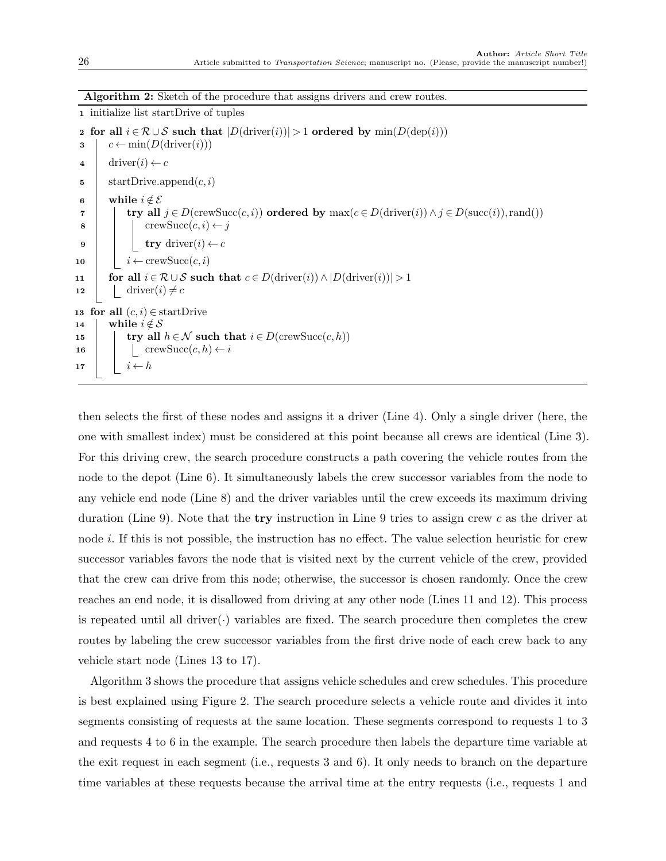Algorithm 2: Sketch of the procedure that assigns drivers and crew routes.

<span id="page-25-6"></span><span id="page-25-5"></span><span id="page-25-4"></span><span id="page-25-3"></span><span id="page-25-2"></span><span id="page-25-1"></span>1 initialize list startDrive of tuples 2 for all  $i \in \mathcal{R} \cup \mathcal{S}$  such that  $|D(\text{driver}(i))| > 1$  ordered by  $\min(D(\text{dep}(i)))$  $\mathbf{3} \mid c \leftarrow \min(D(\text{driver}(i)))$ 4 driver $(i) \leftarrow c$ 5 | startDrive.append $(c, i)$ 6 while  $i \notin \mathcal{E}$ 7 try all  $j \in D(\text{crewSucc}(c, i))$  ordered by  $\max(c \in D(\text{diver}(i)) \land j \in D(\text{succ}(i)), \text{rand}())$ 8 crewSucc $(c, i) \leftarrow j$ 9 try driver $(i) \leftarrow c$ 10  $i \leftarrow \text{crewSucc}(c, i)$ 11 for all  $i \in \mathcal{R} \cup \mathcal{S}$  such that  $c \in D(\text{driver}(i)) \land |D(\text{driver}(i))| > 1$ 12 driver(*i*)  $\neq$  *c* 13 for all  $(c, i) \in \text{start}$ Drive 14 while  $i \notin \mathcal{S}$ 15  $\vert$  try all  $h \in \mathcal{N}$  such that  $i \in D(\text{crewSucc}(c, h))$ 16 | | crewSucc $(c, h) \leftarrow i$ 17  $i \leftarrow h$ 

<span id="page-25-10"></span><span id="page-25-9"></span><span id="page-25-8"></span><span id="page-25-7"></span><span id="page-25-0"></span>then selects the first of these nodes and assigns it a driver [\(Line 4\)](#page-25-2). Only a single driver (here, the one with smallest index) must be considered at this point because all crews are identical [\(Line 3\)](#page-25-3). For this driving crew, the search procedure constructs a path covering the vehicle routes from the node to the depot [\(Line 6\)](#page-25-4). It simultaneously labels the crew successor variables from the node to any vehicle end node [\(Line 8\)](#page-25-5) and the driver variables until the crew exceeds its maximum driving duration [\(Line 9\)](#page-25-6). Note that the **try** instruction in [Line 9](#page-25-6) tries to assign crew c as the driver at node i. If this is not possible, the instruction has no effect. The value selection heuristic for crew successor variables favors the node that is visited next by the current vehicle of the crew, provided that the crew can drive from this node; otherwise, the successor is chosen randomly. Once the crew reaches an end node, it is disallowed from driving at any other node [\(Lines 11](#page-25-7) and [12\)](#page-25-8). This process is repeated until all driver $(\cdot)$  variables are fixed. The search procedure then completes the crew routes by labeling the crew successor variables from the first drive node of each crew back to any vehicle start node [\(Lines 13](#page-25-9) to [17\)](#page-25-10).

[Algorithm 3](#page-26-1) shows the procedure that assigns vehicle schedules and crew schedules. This procedure is best explained using [Figure 2.](#page-7-1) The search procedure selects a vehicle route and divides it into segments consisting of requests at the same location. These segments correspond to requests 1 to 3 and requests 4 to 6 in the example. The search procedure then labels the departure time variable at the exit request in each segment (i.e., requests 3 and 6). It only needs to branch on the departure time variables at these requests because the arrival time at the entry requests (i.e., requests 1 and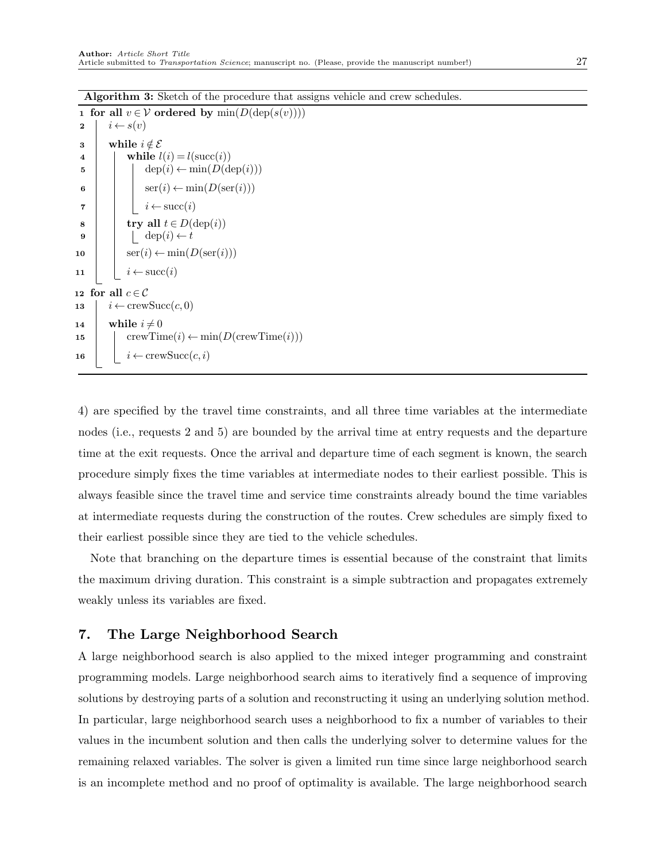Algorithm 3: Sketch of the procedure that assigns vehicle and crew schedules.

| $\mathbf{1}$            | for all $v \in V$ ordered by $min(D(\text{dep}(s(v))))$           |
|-------------------------|-------------------------------------------------------------------|
| $\mathbf 2$             | $i \leftarrow s(v)$                                               |
| 3                       | while $i \notin \mathcal{E}$                                      |
| $\overline{\mathbf{4}}$ | while $l(i) = l(\text{succ}(i))$                                  |
| 5                       | $dep(i) \leftarrow min(D(dep(i)))$                                |
| 6                       | $\operatorname{ser}(i) \leftarrow \min(D(\operatorname{ser}(i)))$ |
| 7                       | $i \leftarrow \text{succ}(i)$                                     |
| 8                       | try all $t \in D(\text{dep}(i))$                                  |
| 9                       | $\text{dep}(i) \leftarrow t$                                      |
| 10                      | $\operatorname{ser}(i) \leftarrow \min(D(\operatorname{ser}(i)))$ |
| 11                      | $i \leftarrow \text{succ}(i)$                                     |
|                         | 12 for all $c\!\in\!\mathcal{C}$                                  |
| 13                      | $i \leftarrow \text{crewSucc}(c, 0)$                              |
| 14                      | while $i \neq 0$                                                  |
| 15                      | $\text{crewTime}(i) \leftarrow \min(D(\text{crewTime}(i)))$       |
| 16                      | $i \leftarrow \text{crewSucc}(c, i)$                              |

<span id="page-26-1"></span>4) are specified by the travel time constraints, and all three time variables at the intermediate nodes (i.e., requests 2 and 5) are bounded by the arrival time at entry requests and the departure time at the exit requests. Once the arrival and departure time of each segment is known, the search procedure simply fixes the time variables at intermediate nodes to their earliest possible. This is always feasible since the travel time and service time constraints already bound the time variables at intermediate requests during the construction of the routes. Crew schedules are simply fixed to their earliest possible since they are tied to the vehicle schedules.

Note that branching on the departure times is essential because of the constraint that limits the maximum driving duration. This constraint is a simple subtraction and propagates extremely weakly unless its variables are fixed.

# <span id="page-26-0"></span>7. The Large Neighborhood Search

A large neighborhood search is also applied to the mixed integer programming and constraint programming models. Large neighborhood search aims to iteratively find a sequence of improving solutions by destroying parts of a solution and reconstructing it using an underlying solution method. In particular, large neighborhood search uses a neighborhood to fix a number of variables to their values in the incumbent solution and then calls the underlying solver to determine values for the remaining relaxed variables. The solver is given a limited run time since large neighborhood search is an incomplete method and no proof of optimality is available. The large neighborhood search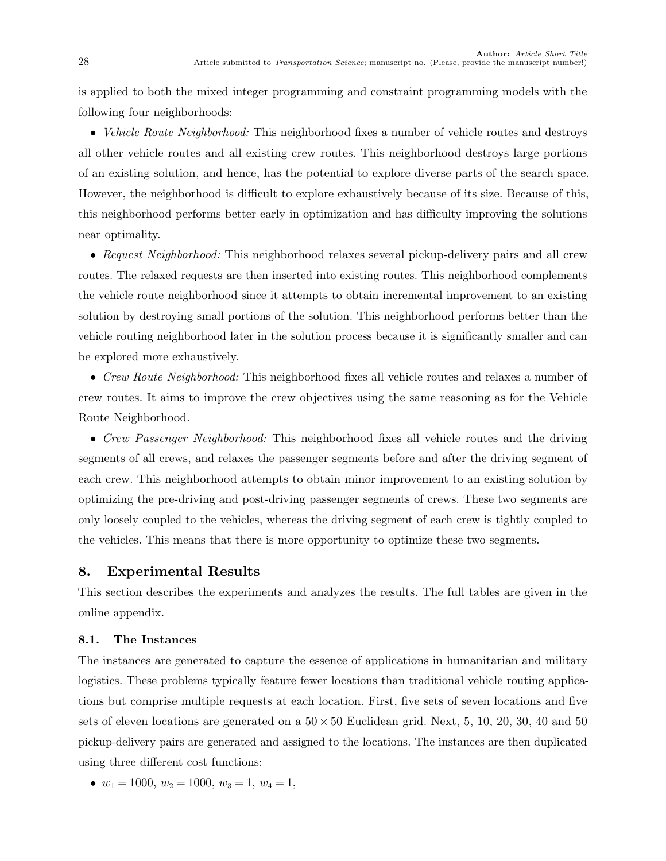is applied to both the mixed integer programming and constraint programming models with the following four neighborhoods:

• Vehicle Route Neighborhood: This neighborhood fixes a number of vehicle routes and destroys all other vehicle routes and all existing crew routes. This neighborhood destroys large portions of an existing solution, and hence, has the potential to explore diverse parts of the search space. However, the neighborhood is difficult to explore exhaustively because of its size. Because of this, this neighborhood performs better early in optimization and has difficulty improving the solutions near optimality.

• Request Neighborhood: This neighborhood relaxes several pickup-delivery pairs and all crew routes. The relaxed requests are then inserted into existing routes. This neighborhood complements the vehicle route neighborhood since it attempts to obtain incremental improvement to an existing solution by destroying small portions of the solution. This neighborhood performs better than the vehicle routing neighborhood later in the solution process because it is significantly smaller and can be explored more exhaustively.

• Crew Route Neighborhood: This neighborhood fixes all vehicle routes and relaxes a number of crew routes. It aims to improve the crew objectives using the same reasoning as for the Vehicle Route Neighborhood.

• Crew Passenger Neighborhood: This neighborhood fixes all vehicle routes and the driving segments of all crews, and relaxes the passenger segments before and after the driving segment of each crew. This neighborhood attempts to obtain minor improvement to an existing solution by optimizing the pre-driving and post-driving passenger segments of crews. These two segments are only loosely coupled to the vehicles, whereas the driving segment of each crew is tightly coupled to the vehicles. This means that there is more opportunity to optimize these two segments.

# <span id="page-27-0"></span>8. Experimental Results

This section describes the experiments and analyzes the results. The full tables are given in the online appendix.

### 8.1. The Instances

The instances are generated to capture the essence of applications in humanitarian and military logistics. These problems typically feature fewer locations than traditional vehicle routing applications but comprise multiple requests at each location. First, five sets of seven locations and five sets of eleven locations are generated on a  $50 \times 50$  Euclidean grid. Next, 5, 10, 20, 30, 40 and 50 pickup-delivery pairs are generated and assigned to the locations. The instances are then duplicated using three different cost functions:

•  $w_1 = 1000, w_2 = 1000, w_3 = 1, w_4 = 1,$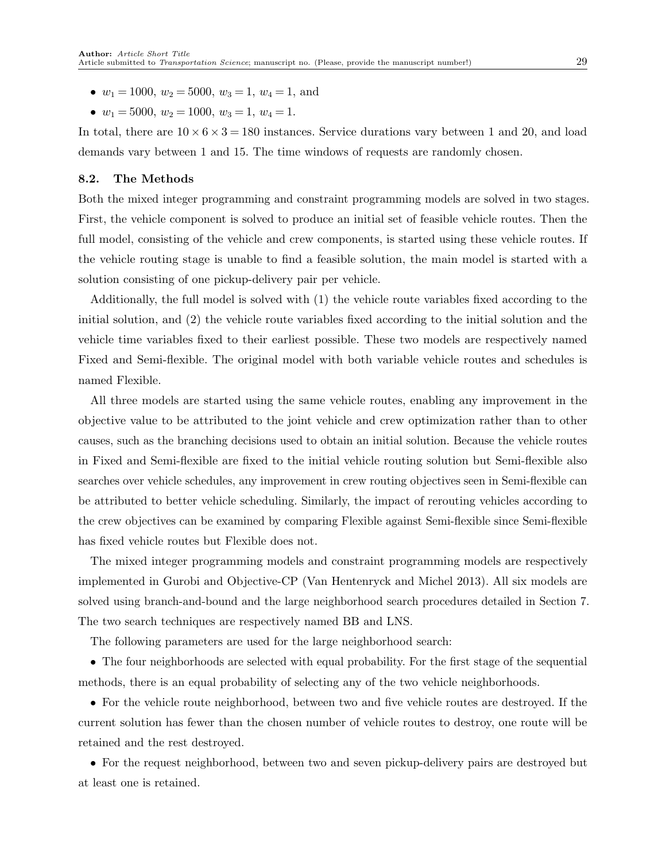- $w_1 = 1000, w_2 = 5000, w_3 = 1, w_4 = 1, \text{ and}$
- $w_1 = 5000, w_2 = 1000, w_3 = 1, w_4 = 1.$

In total, there are  $10 \times 6 \times 3 = 180$  instances. Service durations vary between 1 and 20, and load demands vary between 1 and 15. The time windows of requests are randomly chosen.

### 8.2. The Methods

Both the mixed integer programming and constraint programming models are solved in two stages. First, the vehicle component is solved to produce an initial set of feasible vehicle routes. Then the full model, consisting of the vehicle and crew components, is started using these vehicle routes. If the vehicle routing stage is unable to find a feasible solution, the main model is started with a solution consisting of one pickup-delivery pair per vehicle.

Additionally, the full model is solved with (1) the vehicle route variables fixed according to the initial solution, and (2) the vehicle route variables fixed according to the initial solution and the vehicle time variables fixed to their earliest possible. These two models are respectively named Fixed and Semi-flexible. The original model with both variable vehicle routes and schedules is named Flexible.

All three models are started using the same vehicle routes, enabling any improvement in the objective value to be attributed to the joint vehicle and crew optimization rather than to other causes, such as the branching decisions used to obtain an initial solution. Because the vehicle routes in Fixed and Semi-flexible are fixed to the initial vehicle routing solution but Semi-flexible also searches over vehicle schedules, any improvement in crew routing objectives seen in Semi-flexible can be attributed to better vehicle scheduling. Similarly, the impact of rerouting vehicles according to the crew objectives can be examined by comparing Flexible against Semi-flexible since Semi-flexible has fixed vehicle routes but Flexible does not.

The mixed integer programming models and constraint programming models are respectively implemented in Gurobi and Objective-CP [\(Van Hentenryck and Michel 2013\)](#page-39-10). All six models are solved using branch-and-bound and the large neighborhood search procedures detailed in [Section 7.](#page-26-0) The two search techniques are respectively named BB and LNS.

The following parameters are used for the large neighborhood search:

• The four neighborhoods are selected with equal probability. For the first stage of the sequential methods, there is an equal probability of selecting any of the two vehicle neighborhoods.

• For the vehicle route neighborhood, between two and five vehicle routes are destroyed. If the current solution has fewer than the chosen number of vehicle routes to destroy, one route will be retained and the rest destroyed.

• For the request neighborhood, between two and seven pickup-delivery pairs are destroyed but at least one is retained.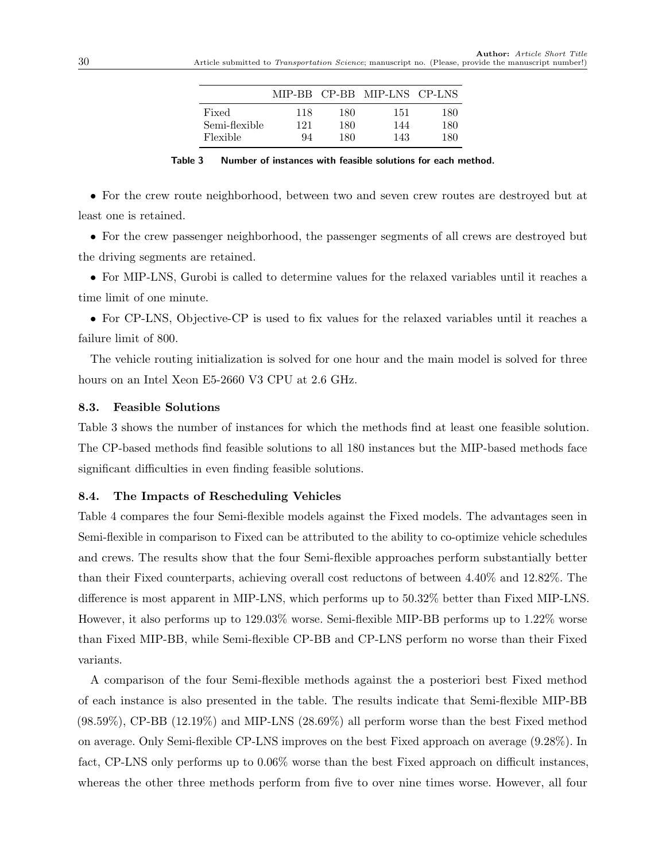|               |     |     | MIP-BB CP-BB MIP-LNS CP-LNS |     |
|---------------|-----|-----|-----------------------------|-----|
| Fixed         | 118 | 180 | 151                         | 180 |
| Semi-flexible | 121 | 180 | 144                         | 180 |
| Flexible      | 94  | 180 | 143                         | 180 |

Table 3 Number of instances with feasible solutions for each method.

<span id="page-29-0"></span>• For the crew route neighborhood, between two and seven crew routes are destroyed but at least one is retained.

• For the crew passenger neighborhood, the passenger segments of all crews are destroyed but the driving segments are retained.

• For MIP-LNS, Gurobi is called to determine values for the relaxed variables until it reaches a time limit of one minute.

• For CP-LNS, Objective-CP is used to fix values for the relaxed variables until it reaches a failure limit of 800.

The vehicle routing initialization is solved for one hour and the main model is solved for three hours on an Intel Xeon E5-2660 V3 CPU at 2.6 GHz.

#### 8.3. Feasible Solutions

[Table 3](#page-29-0) shows the number of instances for which the methods find at least one feasible solution. The CP-based methods find feasible solutions to all 180 instances but the MIP-based methods face significant difficulties in even finding feasible solutions.

### 8.4. The Impacts of Rescheduling Vehicles

[Table 4](#page-30-0) compares the four Semi-flexible models against the Fixed models. The advantages seen in Semi-flexible in comparison to Fixed can be attributed to the ability to co-optimize vehicle schedules and crews. The results show that the four Semi-flexible approaches perform substantially better than their Fixed counterparts, achieving overall cost reductons of between 4.40% and 12.82%. The difference is most apparent in MIP-LNS, which performs up to 50.32% better than Fixed MIP-LNS. However, it also performs up to 129.03% worse. Semi-flexible MIP-BB performs up to 1.22% worse than Fixed MIP-BB, while Semi-flexible CP-BB and CP-LNS perform no worse than their Fixed variants.

A comparison of the four Semi-flexible methods against the a posteriori best Fixed method of each instance is also presented in the table. The results indicate that Semi-flexible MIP-BB  $(98.59\%)$ , CP-BB  $(12.19\%)$  and MIP-LNS  $(28.69\%)$  all perform worse than the best Fixed method on average. Only Semi-flexible CP-LNS improves on the best Fixed approach on average (9.28%). In fact, CP-LNS only performs up to 0.06% worse than the best Fixed approach on difficult instances, whereas the other three methods perform from five to over nine times worse. However, all four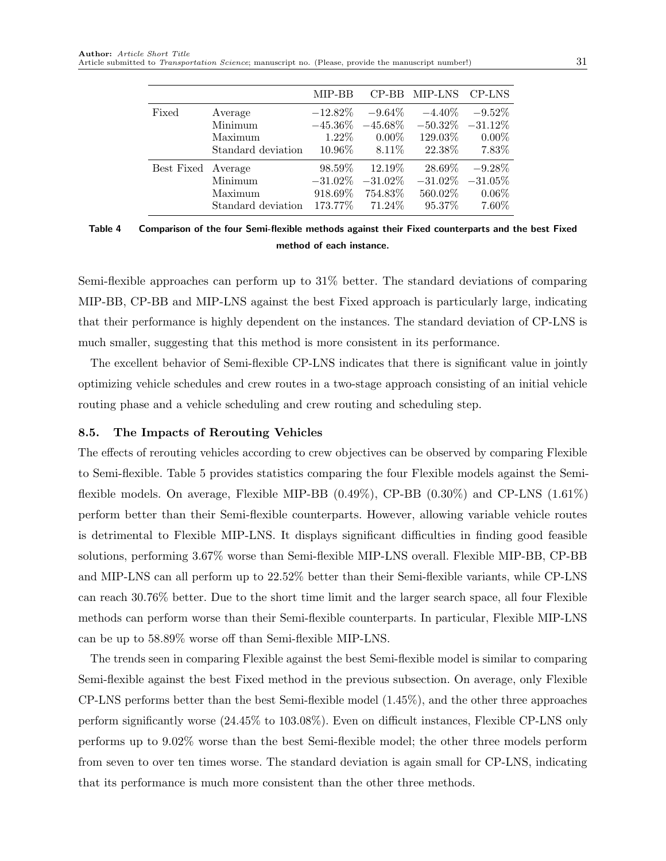<span id="page-30-0"></span>

|                    |                                                     | MIP-BB                 |                                                                    | CP-BB MIP-LNS CP-LNS         |                                                              |
|--------------------|-----------------------------------------------------|------------------------|--------------------------------------------------------------------|------------------------------|--------------------------------------------------------------|
| Fixed              | Average<br>Minimum<br>Maximum<br>Standard deviation | $-12.82\%$<br>$1.22\%$ | $-9.64\%$<br>$-45.36\%$ $-45.68\%$<br>$0.00\%$<br>$10.96\%$ 8.11\% | $-4.40\%$<br>$129.03\%$      | $-9.52\%$<br>$-50.32\% -31.12\%$<br>$0.00\%$<br>22.38% 7.83% |
| Best Fixed Average | Minimum<br>Maximum<br>Standard deviation            | 98.59%<br>918.69%      | 12.19\%<br>$-31.02\%$ $-31.02\%$<br>754.83%<br>173.77% 71.24%      | 28.69%<br>560.02\%<br>95.37% | $-9.28\%$<br>$-31.02\% -31.05\%$<br>$0.06\%$<br>$7.60\%$     |

Table 4 Comparison of the four Semi-flexible methods against their Fixed counterparts and the best Fixed method of each instance.

Semi-flexible approaches can perform up to 31% better. The standard deviations of comparing MIP-BB, CP-BB and MIP-LNS against the best Fixed approach is particularly large, indicating that their performance is highly dependent on the instances. The standard deviation of CP-LNS is much smaller, suggesting that this method is more consistent in its performance.

The excellent behavior of Semi-flexible CP-LNS indicates that there is significant value in jointly optimizing vehicle schedules and crew routes in a two-stage approach consisting of an initial vehicle routing phase and a vehicle scheduling and crew routing and scheduling step.

### 8.5. The Impacts of Rerouting Vehicles

The effects of rerouting vehicles according to crew objectives can be observed by comparing Flexible to Semi-flexible. [Table 5](#page-31-0) provides statistics comparing the four Flexible models against the Semiflexible models. On average, Flexible MIP-BB (0.49%), CP-BB (0.30%) and CP-LNS (1.61%) perform better than their Semi-flexible counterparts. However, allowing variable vehicle routes is detrimental to Flexible MIP-LNS. It displays significant difficulties in finding good feasible solutions, performing 3.67% worse than Semi-flexible MIP-LNS overall. Flexible MIP-BB, CP-BB and MIP-LNS can all perform up to 22.52% better than their Semi-flexible variants, while CP-LNS can reach 30.76% better. Due to the short time limit and the larger search space, all four Flexible methods can perform worse than their Semi-flexible counterparts. In particular, Flexible MIP-LNS can be up to 58.89% worse off than Semi-flexible MIP-LNS.

The trends seen in comparing Flexible against the best Semi-flexible model is similar to comparing Semi-flexible against the best Fixed method in the previous subsection. On average, only Flexible CP-LNS performs better than the best Semi-flexible model (1.45%), and the other three approaches perform significantly worse (24.45% to 103.08%). Even on difficult instances, Flexible CP-LNS only performs up to 9.02% worse than the best Semi-flexible model; the other three models perform from seven to over ten times worse. The standard deviation is again small for CP-LNS, indicating that its performance is much more consistent than the other three methods.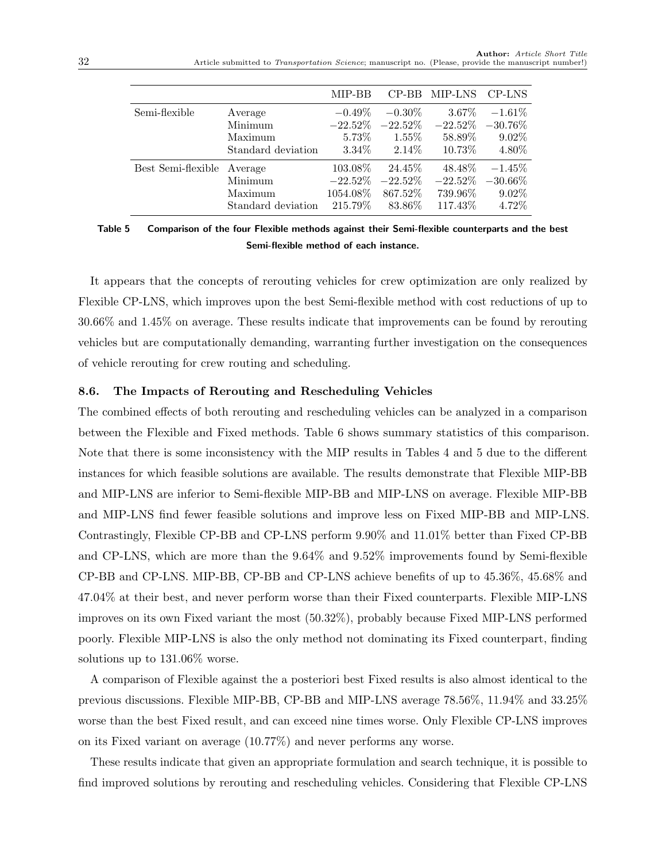<span id="page-31-0"></span>

|                            |                                          | MIP-BB                                          |                                               | CP-BB MIP-LNS CP-LNS                                    |                            |
|----------------------------|------------------------------------------|-------------------------------------------------|-----------------------------------------------|---------------------------------------------------------|----------------------------|
| Semi-flexible              | Average<br>Minimum                       | $-0.49\%$                                       | $-0.30\%$                                     | $3.67\%$<br>$-22.52\%$ $-22.52\%$ $-22.52\%$ $-30.76\%$ | $-1.61\%$                  |
|                            | Maximum<br>Standard deviation            | $5.73\%$                                        | $1.55\%$<br>$3.34\%$ $2.14\%$                 | 58.89%<br>$10.73\%$                                     | $9.02\%$<br>4.80%          |
| Best Semi-flexible Average | Minimum<br>Maximum<br>Standard deviation | 103.08%<br>$-22.52\%$<br>1054.08%<br>$215.79\%$ | 24.45\%<br>$-22.52\%$<br>867.52%<br>$83.86\%$ | 48.48%<br>$-22.52\% -30.66\%$<br>$739.96\%$<br>117.43%  | $-1.45%$<br>9.02%<br>4.72% |

Table 5 Comparison of the four Flexible methods against their Semi-flexible counterparts and the best Semi-flexible method of each instance.

It appears that the concepts of rerouting vehicles for crew optimization are only realized by Flexible CP-LNS, which improves upon the best Semi-flexible method with cost reductions of up to 30.66% and 1.45% on average. These results indicate that improvements can be found by rerouting vehicles but are computationally demanding, warranting further investigation on the consequences of vehicle rerouting for crew routing and scheduling.

### 8.6. The Impacts of Rerouting and Rescheduling Vehicles

The combined effects of both rerouting and rescheduling vehicles can be analyzed in a comparison between the Flexible and Fixed methods. [Table 6](#page-32-0) shows summary statistics of this comparison. Note that there is some inconsistency with the MIP results in [Tables 4](#page-30-0) and [5](#page-31-0) due to the different instances for which feasible solutions are available. The results demonstrate that Flexible MIP-BB and MIP-LNS are inferior to Semi-flexible MIP-BB and MIP-LNS on average. Flexible MIP-BB and MIP-LNS find fewer feasible solutions and improve less on Fixed MIP-BB and MIP-LNS. Contrastingly, Flexible CP-BB and CP-LNS perform 9.90% and 11.01% better than Fixed CP-BB and CP-LNS, which are more than the 9.64% and 9.52% improvements found by Semi-flexible CP-BB and CP-LNS. MIP-BB, CP-BB and CP-LNS achieve benefits of up to 45.36%, 45.68% and 47.04% at their best, and never perform worse than their Fixed counterparts. Flexible MIP-LNS improves on its own Fixed variant the most (50.32%), probably because Fixed MIP-LNS performed poorly. Flexible MIP-LNS is also the only method not dominating its Fixed counterpart, finding solutions up to 131.06% worse.

A comparison of Flexible against the a posteriori best Fixed results is also almost identical to the previous discussions. Flexible MIP-BB, CP-BB and MIP-LNS average 78.56%, 11.94% and 33.25% worse than the best Fixed result, and can exceed nine times worse. Only Flexible CP-LNS improves on its Fixed variant on average (10.77%) and never performs any worse.

These results indicate that given an appropriate formulation and search technique, it is possible to find improved solutions by rerouting and rescheduling vehicles. Considering that Flexible CP-LNS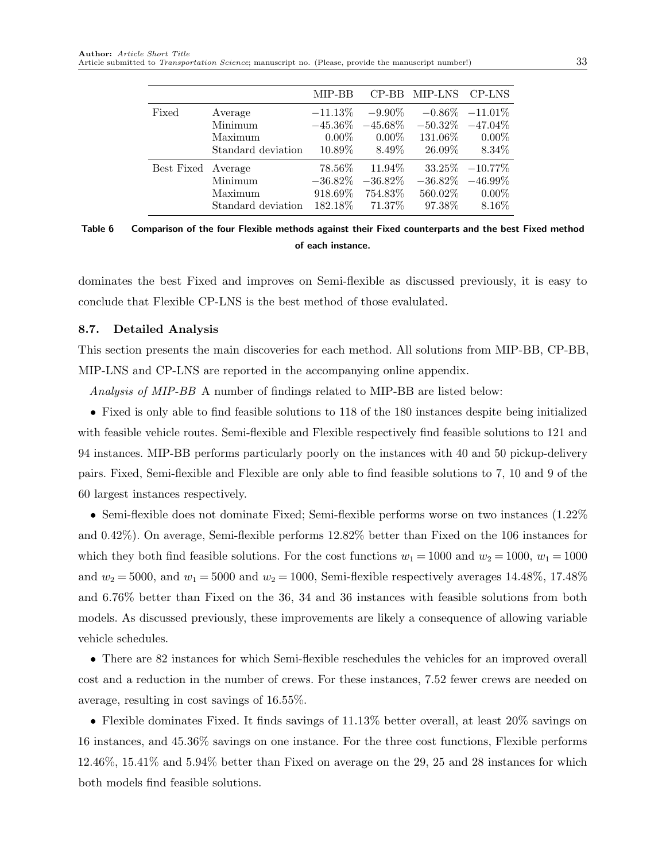<span id="page-32-0"></span>

Table 6 Comparison of the four Flexible methods against their Fixed counterparts and the best Fixed method of each instance.

dominates the best Fixed and improves on Semi-flexible as discussed previously, it is easy to conclude that Flexible CP-LNS is the best method of those evalulated.

### 8.7. Detailed Analysis

This section presents the main discoveries for each method. All solutions from MIP-BB, CP-BB, MIP-LNS and CP-LNS are reported in the accompanying online appendix.

Analysis of MIP-BB A number of findings related to MIP-BB are listed below:

• Fixed is only able to find feasible solutions to 118 of the 180 instances despite being initialized with feasible vehicle routes. Semi-flexible and Flexible respectively find feasible solutions to 121 and 94 instances. MIP-BB performs particularly poorly on the instances with 40 and 50 pickup-delivery pairs. Fixed, Semi-flexible and Flexible are only able to find feasible solutions to 7, 10 and 9 of the 60 largest instances respectively.

• Semi-flexible does not dominate Fixed; Semi-flexible performs worse on two instances  $(1.22\%$ and 0.42%). On average, Semi-flexible performs 12.82% better than Fixed on the 106 instances for which they both find feasible solutions. For the cost functions  $w_1 = 1000$  and  $w_2 = 1000$ ,  $w_1 = 1000$ and  $w_2 = 5000$ , and  $w_1 = 5000$  and  $w_2 = 1000$ , Semi-flexible respectively averages 14.48%, 17.48% and 6.76% better than Fixed on the 36, 34 and 36 instances with feasible solutions from both models. As discussed previously, these improvements are likely a consequence of allowing variable vehicle schedules.

• There are 82 instances for which Semi-flexible reschedules the vehicles for an improved overall cost and a reduction in the number of crews. For these instances, 7.52 fewer crews are needed on average, resulting in cost savings of 16.55%.

• Flexible dominates Fixed. It finds savings of 11.13% better overall, at least 20% savings on 16 instances, and 45.36% savings on one instance. For the three cost functions, Flexible performs 12.46%, 15.41% and 5.94% better than Fixed on average on the 29, 25 and 28 instances for which both models find feasible solutions.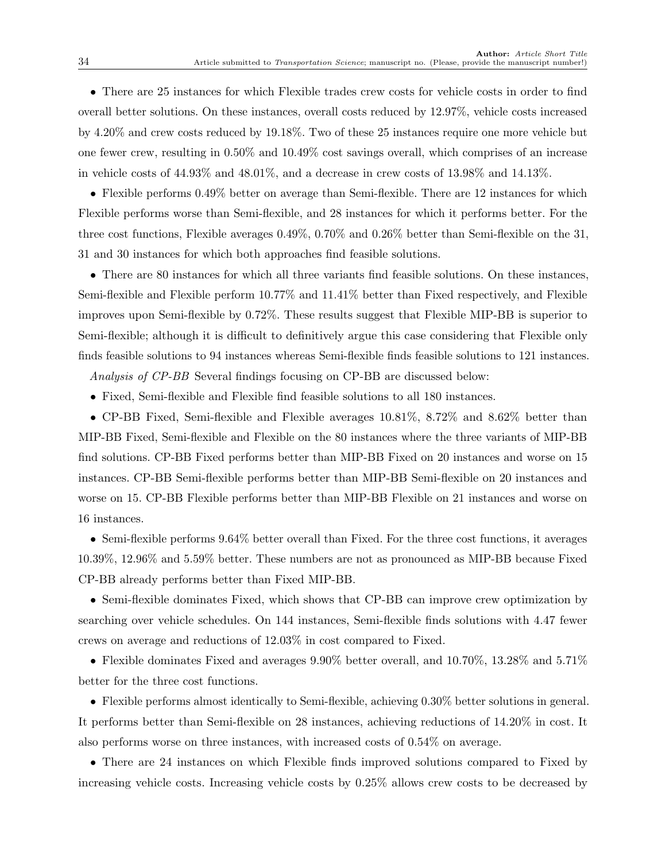• There are 25 instances for which Flexible trades crew costs for vehicle costs in order to find overall better solutions. On these instances, overall costs reduced by 12.97%, vehicle costs increased by 4.20% and crew costs reduced by 19.18%. Two of these 25 instances require one more vehicle but one fewer crew, resulting in 0.50% and 10.49% cost savings overall, which comprises of an increase in vehicle costs of 44.93% and 48.01%, and a decrease in crew costs of 13.98% and 14.13%.

• Flexible performs 0.49% better on average than Semi-flexible. There are 12 instances for which Flexible performs worse than Semi-flexible, and 28 instances for which it performs better. For the three cost functions, Flexible averages 0.49%, 0.70% and 0.26% better than Semi-flexible on the 31, 31 and 30 instances for which both approaches find feasible solutions.

• There are 80 instances for which all three variants find feasible solutions. On these instances, Semi-flexible and Flexible perform 10.77% and 11.41% better than Fixed respectively, and Flexible improves upon Semi-flexible by 0.72%. These results suggest that Flexible MIP-BB is superior to Semi-flexible; although it is difficult to definitively argue this case considering that Flexible only finds feasible solutions to 94 instances whereas Semi-flexible finds feasible solutions to 121 instances.

Analysis of CP-BB Several findings focusing on CP-BB are discussed below:

• Fixed, Semi-flexible and Flexible find feasible solutions to all 180 instances.

• CP-BB Fixed, Semi-flexible and Flexible averages 10.81%, 8.72% and 8.62% better than MIP-BB Fixed, Semi-flexible and Flexible on the 80 instances where the three variants of MIP-BB find solutions. CP-BB Fixed performs better than MIP-BB Fixed on 20 instances and worse on 15 instances. CP-BB Semi-flexible performs better than MIP-BB Semi-flexible on 20 instances and worse on 15. CP-BB Flexible performs better than MIP-BB Flexible on 21 instances and worse on 16 instances.

• Semi-flexible performs 9.64% better overall than Fixed. For the three cost functions, it averages 10.39%, 12.96% and 5.59% better. These numbers are not as pronounced as MIP-BB because Fixed CP-BB already performs better than Fixed MIP-BB.

• Semi-flexible dominates Fixed, which shows that CP-BB can improve crew optimization by searching over vehicle schedules. On 144 instances, Semi-flexible finds solutions with 4.47 fewer crews on average and reductions of 12.03% in cost compared to Fixed.

• Flexible dominates Fixed and averages 9.90% better overall, and 10.70%, 13.28% and 5.71% better for the three cost functions.

• Flexible performs almost identically to Semi-flexible, achieving 0.30% better solutions in general. It performs better than Semi-flexible on 28 instances, achieving reductions of 14.20% in cost. It also performs worse on three instances, with increased costs of 0.54% on average.

• There are 24 instances on which Flexible finds improved solutions compared to Fixed by increasing vehicle costs. Increasing vehicle costs by 0.25% allows crew costs to be decreased by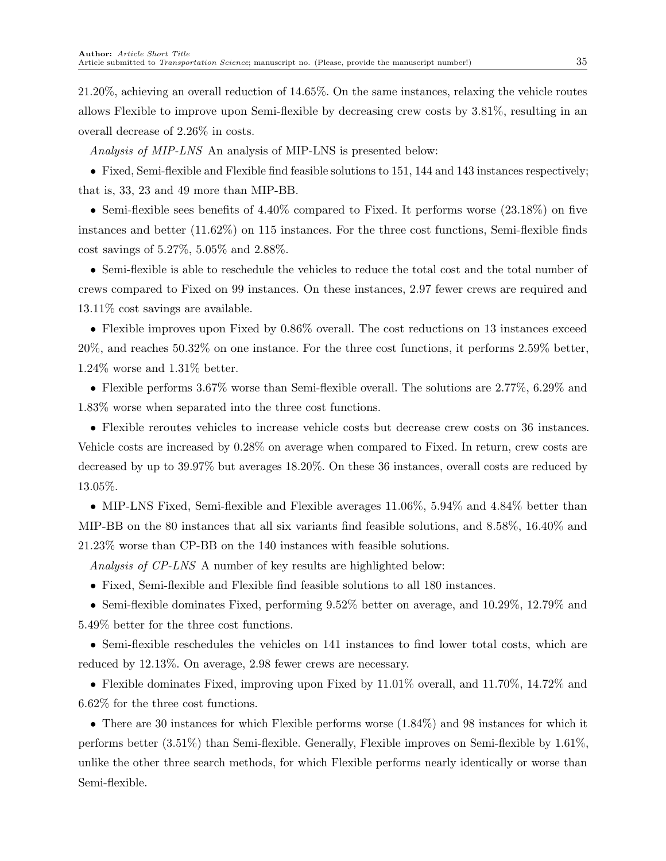21.20%, achieving an overall reduction of 14.65%. On the same instances, relaxing the vehicle routes allows Flexible to improve upon Semi-flexible by decreasing crew costs by 3.81%, resulting in an overall decrease of 2.26% in costs.

Analysis of MIP-LNS An analysis of MIP-LNS is presented below:

• Fixed, Semi-flexible and Flexible find feasible solutions to 151, 144 and 143 instances respectively; that is, 33, 23 and 49 more than MIP-BB.

• Semi-flexible sees benefits of 4.40% compared to Fixed. It performs worse (23.18%) on five instances and better (11.62%) on 115 instances. For the three cost functions, Semi-flexible finds cost savings of 5.27%, 5.05% and 2.88%.

• Semi-flexible is able to reschedule the vehicles to reduce the total cost and the total number of crews compared to Fixed on 99 instances. On these instances, 2.97 fewer crews are required and 13.11% cost savings are available.

• Flexible improves upon Fixed by 0.86% overall. The cost reductions on 13 instances exceed 20%, and reaches 50.32% on one instance. For the three cost functions, it performs 2.59% better, 1.24% worse and 1.31% better.

• Flexible performs 3.67% worse than Semi-flexible overall. The solutions are 2.77%, 6.29% and 1.83% worse when separated into the three cost functions.

• Flexible reroutes vehicles to increase vehicle costs but decrease crew costs on 36 instances. Vehicle costs are increased by 0.28% on average when compared to Fixed. In return, crew costs are decreased by up to 39.97% but averages 18.20%. On these 36 instances, overall costs are reduced by 13.05%.

• MIP-LNS Fixed, Semi-flexible and Flexible averages 11.06%, 5.94% and 4.84% better than MIP-BB on the 80 instances that all six variants find feasible solutions, and 8.58%, 16.40% and 21.23% worse than CP-BB on the 140 instances with feasible solutions.

Analysis of CP-LNS A number of key results are highlighted below:

• Fixed, Semi-flexible and Flexible find feasible solutions to all 180 instances.

• Semi-flexible dominates Fixed, performing 9.52% better on average, and 10.29%, 12.79% and 5.49% better for the three cost functions.

• Semi-flexible reschedules the vehicles on 141 instances to find lower total costs, which are reduced by 12.13%. On average, 2.98 fewer crews are necessary.

• Flexible dominates Fixed, improving upon Fixed by 11.01% overall, and 11.70%, 14.72% and 6.62% for the three cost functions.

• There are 30 instances for which Flexible performs worse (1.84%) and 98 instances for which it performs better (3.51%) than Semi-flexible. Generally, Flexible improves on Semi-flexible by 1.61%, unlike the other three search methods, for which Flexible performs nearly identically or worse than Semi-flexible.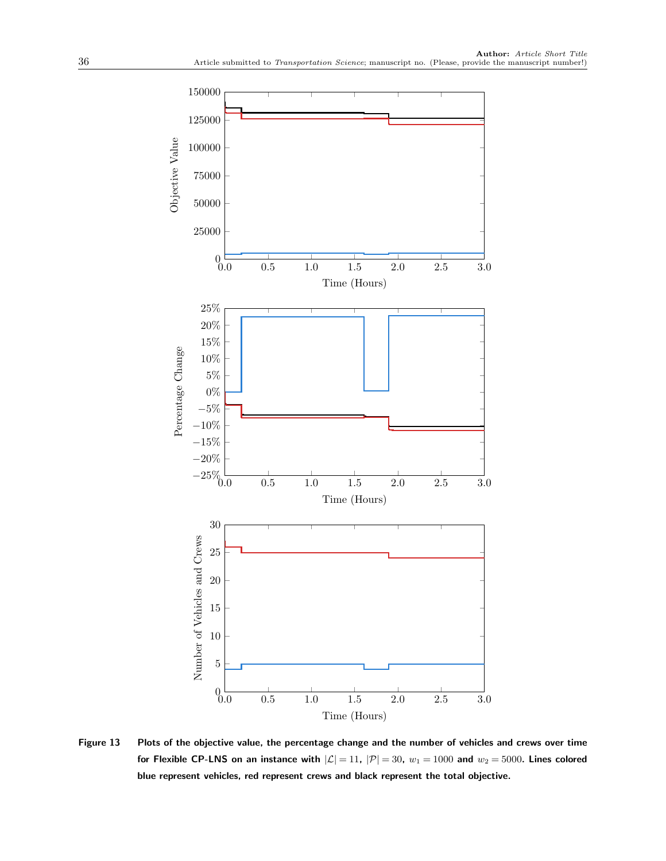<span id="page-35-0"></span>

Figure 13 Plots of the objective value, the percentage change and the number of vehicles and crews over time for Flexible CP-LNS on an instance with  $|\mathcal{L}| = 11$ ,  $|\mathcal{P}| = 30$ ,  $w_1 = 1000$  and  $w_2 = 5000$ . Lines colored blue represent vehicles, red represent crews and black represent the total objective.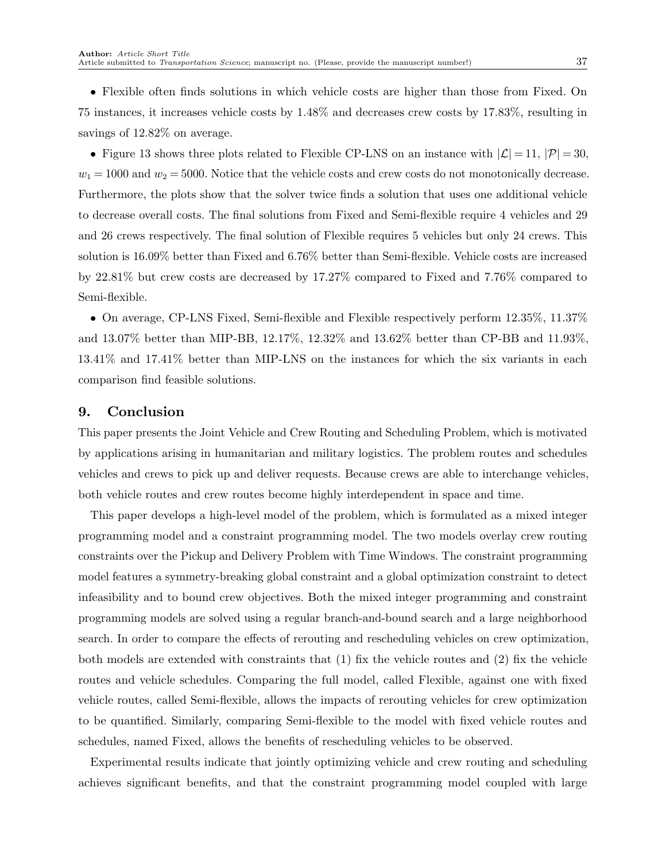• Flexible often finds solutions in which vehicle costs are higher than those from Fixed. On 75 instances, it increases vehicle costs by 1.48% and decreases crew costs by 17.83%, resulting in savings of 12.82% on average.

• [Figure 13](#page-35-0) shows three plots related to Flexible CP-LNS on an instance with  $|\mathcal{L}| = 11$ ,  $|\mathcal{P}| = 30$ ,  $w_1 = 1000$  and  $w_2 = 5000$ . Notice that the vehicle costs and crew costs do not monotonically decrease. Furthermore, the plots show that the solver twice finds a solution that uses one additional vehicle to decrease overall costs. The final solutions from Fixed and Semi-flexible require 4 vehicles and 29 and 26 crews respectively. The final solution of Flexible requires 5 vehicles but only 24 crews. This solution is 16.09% better than Fixed and 6.76% better than Semi-flexible. Vehicle costs are increased by 22.81% but crew costs are decreased by 17.27% compared to Fixed and 7.76% compared to Semi-flexible.

• On average, CP-LNS Fixed, Semi-flexible and Flexible respectively perform 12.35%, 11.37% and 13.07% better than MIP-BB, 12.17%, 12.32% and 13.62% better than CP-BB and 11.93%, 13.41% and 17.41% better than MIP-LNS on the instances for which the six variants in each comparison find feasible solutions.

## <span id="page-36-0"></span>9. Conclusion

This paper presents the Joint Vehicle and Crew Routing and Scheduling Problem, which is motivated by applications arising in humanitarian and military logistics. The problem routes and schedules vehicles and crews to pick up and deliver requests. Because crews are able to interchange vehicles, both vehicle routes and crew routes become highly interdependent in space and time.

This paper develops a high-level model of the problem, which is formulated as a mixed integer programming model and a constraint programming model. The two models overlay crew routing constraints over the Pickup and Delivery Problem with Time Windows. The constraint programming model features a symmetry-breaking global constraint and a global optimization constraint to detect infeasibility and to bound crew objectives. Both the mixed integer programming and constraint programming models are solved using a regular branch-and-bound search and a large neighborhood search. In order to compare the effects of rerouting and rescheduling vehicles on crew optimization, both models are extended with constraints that (1) fix the vehicle routes and (2) fix the vehicle routes and vehicle schedules. Comparing the full model, called Flexible, against one with fixed vehicle routes, called Semi-flexible, allows the impacts of rerouting vehicles for crew optimization to be quantified. Similarly, comparing Semi-flexible to the model with fixed vehicle routes and schedules, named Fixed, allows the benefits of rescheduling vehicles to be observed.

Experimental results indicate that jointly optimizing vehicle and crew routing and scheduling achieves significant benefits, and that the constraint programming model coupled with large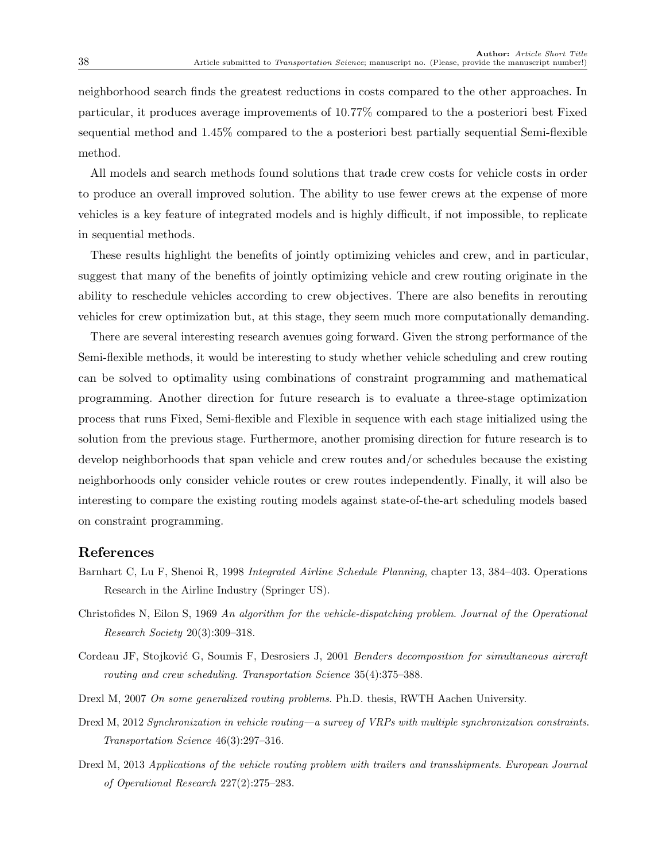neighborhood search finds the greatest reductions in costs compared to the other approaches. In particular, it produces average improvements of 10.77% compared to the a posteriori best Fixed sequential method and 1.45% compared to the a posteriori best partially sequential Semi-flexible method.

All models and search methods found solutions that trade crew costs for vehicle costs in order to produce an overall improved solution. The ability to use fewer crews at the expense of more vehicles is a key feature of integrated models and is highly difficult, if not impossible, to replicate in sequential methods.

These results highlight the benefits of jointly optimizing vehicles and crew, and in particular, suggest that many of the benefits of jointly optimizing vehicle and crew routing originate in the ability to reschedule vehicles according to crew objectives. There are also benefits in rerouting vehicles for crew optimization but, at this stage, they seem much more computationally demanding.

There are several interesting research avenues going forward. Given the strong performance of the Semi-flexible methods, it would be interesting to study whether vehicle scheduling and crew routing can be solved to optimality using combinations of constraint programming and mathematical programming. Another direction for future research is to evaluate a three-stage optimization process that runs Fixed, Semi-flexible and Flexible in sequence with each stage initialized using the solution from the previous stage. Furthermore, another promising direction for future research is to develop neighborhoods that span vehicle and crew routes and/or schedules because the existing neighborhoods only consider vehicle routes or crew routes independently. Finally, it will also be interesting to compare the existing routing models against state-of-the-art scheduling models based on constraint programming.

## <span id="page-37-0"></span>References

- Barnhart C, Lu F, Shenoi R, 1998 Integrated Airline Schedule Planning, chapter 13, 384–403. Operations Research in the Airline Industry (Springer US).
- <span id="page-37-5"></span>Christofides N, Eilon S, 1969 An algorithm for the vehicle-dispatching problem. Journal of the Operational Research Society 20(3):309–318.
- <span id="page-37-4"></span>Cordeau JF, Stojković G, Soumis F, Desrosiers J, 2001 Benders decomposition for simultaneous aircraft routing and crew scheduling. Transportation Science 35(4):375–388.
- <span id="page-37-2"></span>Drexl M, 2007 On some generalized routing problems. Ph.D. thesis, RWTH Aachen University.
- <span id="page-37-1"></span>Drexl M, 2012 Synchronization in vehicle routing—a survey of VRPs with multiple synchronization constraints. Transportation Science 46(3):297–316.
- <span id="page-37-3"></span>Drexl M, 2013 Applications of the vehicle routing problem with trailers and transshipments. European Journal of Operational Research 227(2):275–283.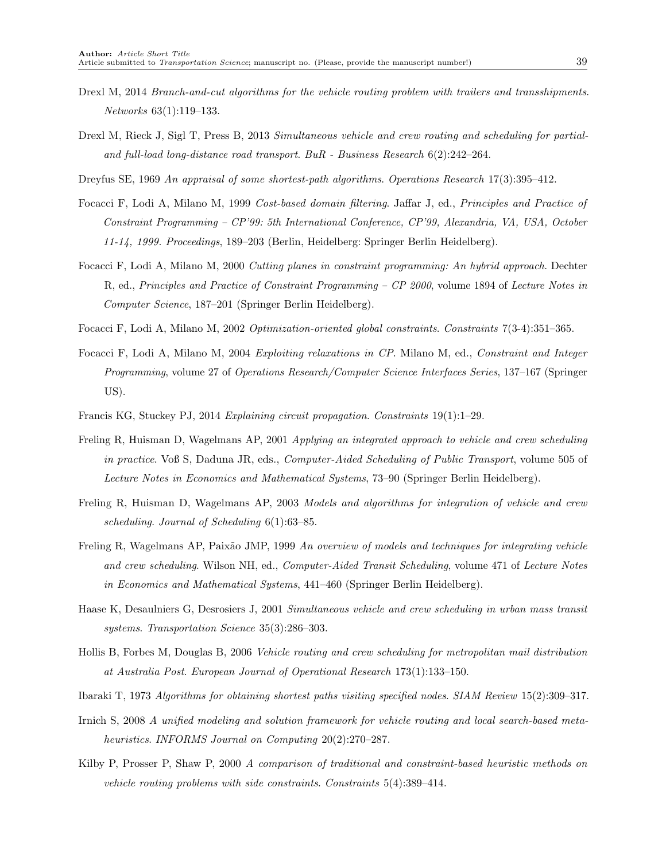- <span id="page-38-2"></span>Drexl M, 2014 Branch-and-cut algorithms for the vehicle routing problem with trailers and transshipments. Networks 63(1):119–133.
- <span id="page-38-1"></span>Drexl M, Rieck J, Sigl T, Press B, 2013 Simultaneous vehicle and crew routing and scheduling for partialand full-load long-distance road transport. BuR - Business Research 6(2):242–264.
- <span id="page-38-15"></span>Dreyfus SE, 1969 An appraisal of some shortest-path algorithms. Operations Research 17(3):395–412.
- <span id="page-38-10"></span>Focacci F, Lodi A, Milano M, 1999 Cost-based domain filtering. Jaffar J, ed., Principles and Practice of Constraint Programming – CP'99: 5th International Conference, CP'99, Alexandria, VA, USA, October 11-14, 1999. Proceedings, 189–203 (Berlin, Heidelberg: Springer Berlin Heidelberg).
- <span id="page-38-11"></span>Focacci F, Lodi A, Milano M, 2000 Cutting planes in constraint programming: An hybrid approach. Dechter R, ed., Principles and Practice of Constraint Programming - CP 2000, volume 1894 of Lecture Notes in Computer Science, 187–201 (Springer Berlin Heidelberg).
- <span id="page-38-12"></span>Focacci F, Lodi A, Milano M, 2002 Optimization-oriented global constraints. Constraints 7(3-4):351–365.
- <span id="page-38-13"></span>Focacci F, Lodi A, Milano M, 2004 Exploiting relaxations in CP. Milano M, ed., Constraint and Integer Programming, volume 27 of Operations Research/Computer Science Interfaces Series, 137–167 (Springer US).
- <span id="page-38-9"></span>Francis KG, Stuckey PJ, 2014 Explaining circuit propagation. Constraints 19(1):1–29.
- <span id="page-38-5"></span>Freling R, Huisman D, Wagelmans AP, 2001 Applying an integrated approach to vehicle and crew scheduling in practice. Voß S, Daduna JR, eds., *Computer-Aided Scheduling of Public Transport*, volume 505 of Lecture Notes in Economics and Mathematical Systems, 73–90 (Springer Berlin Heidelberg).
- <span id="page-38-6"></span>Freling R, Huisman D, Wagelmans AP, 2003 Models and algorithms for integration of vehicle and crew scheduling. Journal of Scheduling 6(1):63–85.
- <span id="page-38-4"></span>Freling R, Wagelmans AP, Paixão JMP, 1999 An overview of models and techniques for integrating vehicle and crew scheduling. Wilson NH, ed., Computer-Aided Transit Scheduling, volume 471 of Lecture Notes in Economics and Mathematical Systems, 441–460 (Springer Berlin Heidelberg).
- <span id="page-38-3"></span>Haase K, Desaulniers G, Desrosiers J, 2001 Simultaneous vehicle and crew scheduling in urban mass transit systems. Transportation Science 35(3):286–303.
- <span id="page-38-0"></span>Hollis B, Forbes M, Douglas B, 2006 Vehicle routing and crew scheduling for metropolitan mail distribution at Australia Post. European Journal of Operational Research 173(1):133–150.
- <span id="page-38-14"></span>Ibaraki T, 1973 Algorithms for obtaining shortest paths visiting specified nodes. SIAM Review 15(2):309–317.
- <span id="page-38-8"></span>Irnich S, 2008 A unified modeling and solution framework for vehicle routing and local search-based metaheuristics. INFORMS Journal on Computing 20(2):270–287.
- <span id="page-38-7"></span>Kilby P, Prosser P, Shaw P, 2000 A comparison of traditional and constraint-based heuristic methods on vehicle routing problems with side constraints. Constraints 5(4):389–414.